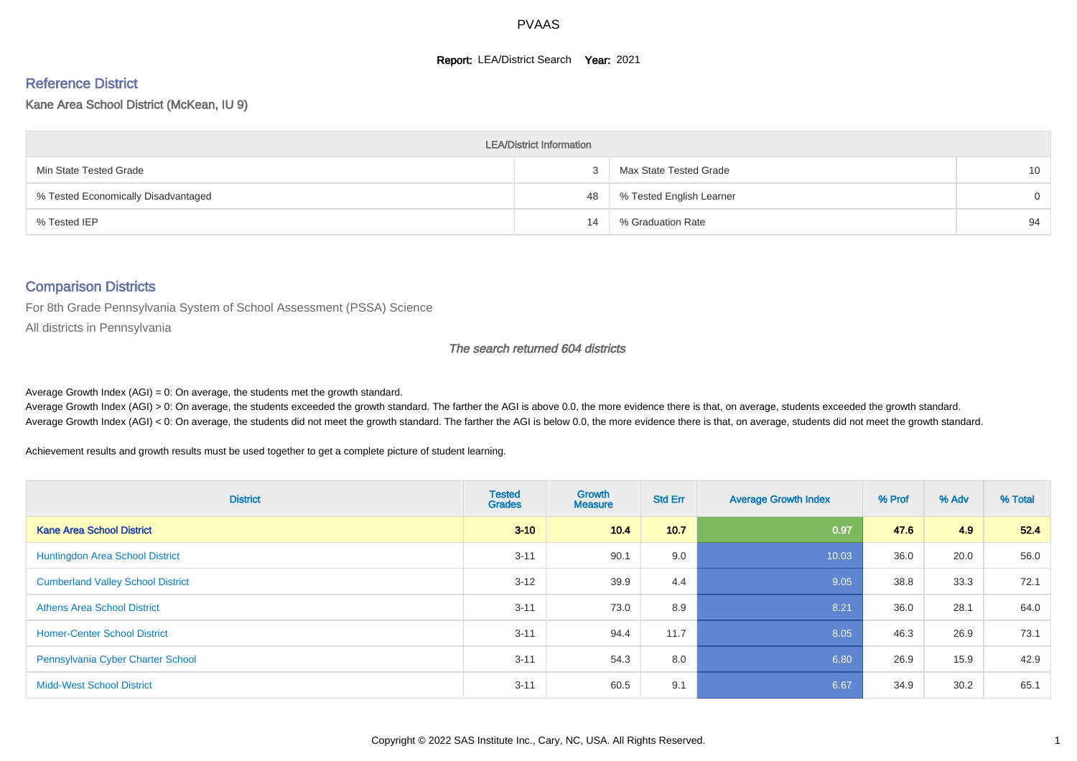#### **Report: LEA/District Search Year: 2021**

#### Reference District

#### Kane Area School District (McKean, IU 9)

| <b>LEA/District Information</b>     |    |                          |          |  |  |  |  |  |  |
|-------------------------------------|----|--------------------------|----------|--|--|--|--|--|--|
| Min State Tested Grade              |    | Max State Tested Grade   | 10       |  |  |  |  |  |  |
| % Tested Economically Disadvantaged | 48 | % Tested English Learner | $\Omega$ |  |  |  |  |  |  |
| % Tested IEP                        | 14 | % Graduation Rate        | 94       |  |  |  |  |  |  |

#### Comparison Districts

For 8th Grade Pennsylvania System of School Assessment (PSSA) Science

All districts in Pennsylvania

#### The search returned 604 districts

Average Growth Index  $(AGI) = 0$ : On average, the students met the growth standard.

Average Growth Index (AGI) > 0: On average, the students exceeded the growth standard. The farther the AGI is above 0.0, the more evidence there is that, on average, students exceeded the growth standard. Average Growth Index (AGI) < 0: On average, the students did not meet the growth standard. The farther the AGI is below 0.0, the more evidence there is that, on average, students did not meet the growth standard.

Achievement results and growth results must be used together to get a complete picture of student learning.

| <b>District</b>                          | <b>Tested</b><br><b>Grades</b> | Growth<br><b>Measure</b> | <b>Std Err</b> | <b>Average Growth Index</b> | % Prof | % Adv | % Total |
|------------------------------------------|--------------------------------|--------------------------|----------------|-----------------------------|--------|-------|---------|
| <b>Kane Area School District</b>         | $3 - 10$                       | 10.4                     | 10.7           | 0.97                        | 47.6   | 4.9   | 52.4    |
| Huntingdon Area School District          | $3 - 11$                       | 90.1                     | 9.0            | 10.03                       | 36.0   | 20.0  | 56.0    |
| <b>Cumberland Valley School District</b> | $3 - 12$                       | 39.9                     | 4.4            | 9.05                        | 38.8   | 33.3  | 72.1    |
| <b>Athens Area School District</b>       | $3 - 11$                       | 73.0                     | 8.9            | 8.21                        | 36.0   | 28.1  | 64.0    |
| <b>Homer-Center School District</b>      | $3 - 11$                       | 94.4                     | 11.7           | 8.05                        | 46.3   | 26.9  | 73.1    |
| Pennsylvania Cyber Charter School        | $3 - 11$                       | 54.3                     | 8.0            | 6.80                        | 26.9   | 15.9  | 42.9    |
| <b>Midd-West School District</b>         | $3 - 11$                       | 60.5                     | 9.1            | 6.67                        | 34.9   | 30.2  | 65.1    |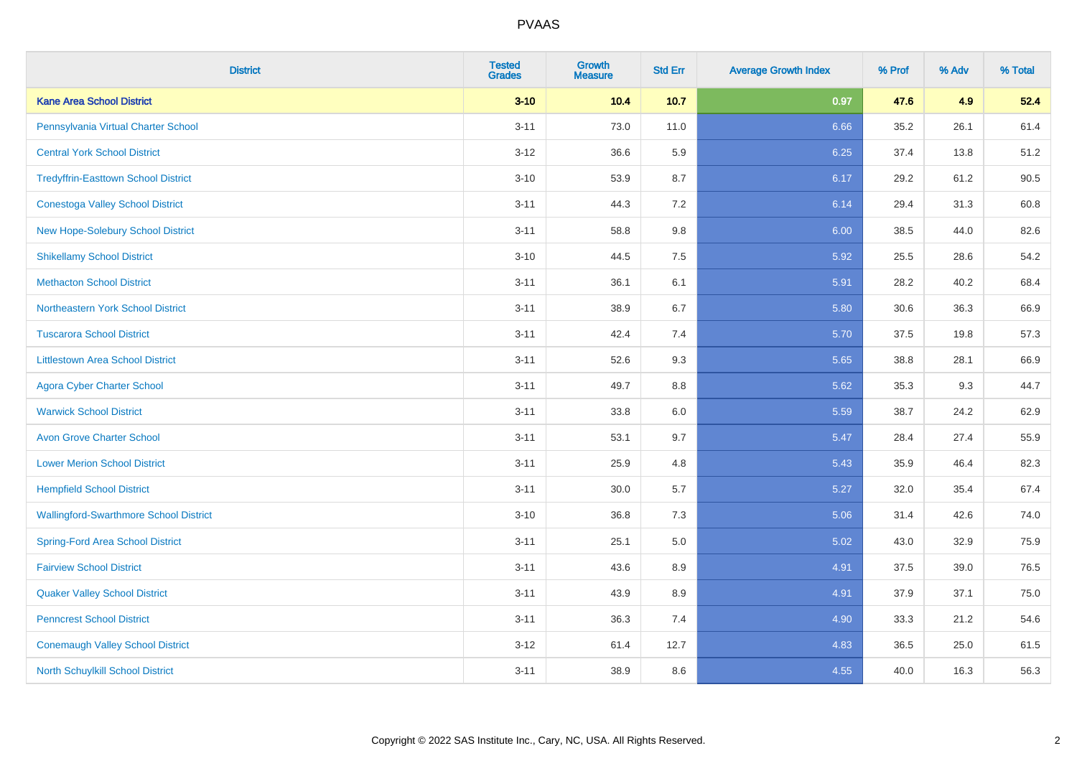| <b>District</b>                               | <b>Tested</b><br><b>Grades</b> | Growth<br><b>Measure</b> | <b>Std Err</b> | <b>Average Growth Index</b> | % Prof | % Adv | % Total |
|-----------------------------------------------|--------------------------------|--------------------------|----------------|-----------------------------|--------|-------|---------|
| <b>Kane Area School District</b>              | $3 - 10$                       | 10.4                     | 10.7           | 0.97                        | 47.6   | 4.9   | 52.4    |
| Pennsylvania Virtual Charter School           | $3 - 11$                       | 73.0                     | 11.0           | 6.66                        | 35.2   | 26.1  | 61.4    |
| <b>Central York School District</b>           | $3 - 12$                       | 36.6                     | 5.9            | 6.25                        | 37.4   | 13.8  | 51.2    |
| <b>Tredyffrin-Easttown School District</b>    | $3 - 10$                       | 53.9                     | 8.7            | 6.17                        | 29.2   | 61.2  | 90.5    |
| <b>Conestoga Valley School District</b>       | $3 - 11$                       | 44.3                     | 7.2            | 6.14                        | 29.4   | 31.3  | 60.8    |
| New Hope-Solebury School District             | $3 - 11$                       | 58.8                     | 9.8            | 6.00                        | 38.5   | 44.0  | 82.6    |
| <b>Shikellamy School District</b>             | $3 - 10$                       | 44.5                     | 7.5            | 5.92                        | 25.5   | 28.6  | 54.2    |
| <b>Methacton School District</b>              | $3 - 11$                       | 36.1                     | 6.1            | 5.91                        | 28.2   | 40.2  | 68.4    |
| Northeastern York School District             | $3 - 11$                       | 38.9                     | 6.7            | 5.80                        | 30.6   | 36.3  | 66.9    |
| <b>Tuscarora School District</b>              | $3 - 11$                       | 42.4                     | 7.4            | 5.70                        | 37.5   | 19.8  | 57.3    |
| <b>Littlestown Area School District</b>       | $3 - 11$                       | 52.6                     | 9.3            | 5.65                        | 38.8   | 28.1  | 66.9    |
| <b>Agora Cyber Charter School</b>             | $3 - 11$                       | 49.7                     | 8.8            | 5.62                        | 35.3   | 9.3   | 44.7    |
| <b>Warwick School District</b>                | $3 - 11$                       | 33.8                     | 6.0            | 5.59                        | 38.7   | 24.2  | 62.9    |
| <b>Avon Grove Charter School</b>              | $3 - 11$                       | 53.1                     | 9.7            | 5.47                        | 28.4   | 27.4  | 55.9    |
| <b>Lower Merion School District</b>           | $3 - 11$                       | 25.9                     | 4.8            | 5.43                        | 35.9   | 46.4  | 82.3    |
| <b>Hempfield School District</b>              | $3 - 11$                       | 30.0                     | 5.7            | 5.27                        | 32.0   | 35.4  | 67.4    |
| <b>Wallingford-Swarthmore School District</b> | $3 - 10$                       | 36.8                     | 7.3            | 5.06                        | 31.4   | 42.6  | 74.0    |
| <b>Spring-Ford Area School District</b>       | $3 - 11$                       | 25.1                     | 5.0            | 5.02                        | 43.0   | 32.9  | 75.9    |
| <b>Fairview School District</b>               | $3 - 11$                       | 43.6                     | 8.9            | 4.91                        | 37.5   | 39.0  | 76.5    |
| <b>Quaker Valley School District</b>          | $3 - 11$                       | 43.9                     | 8.9            | 4.91                        | 37.9   | 37.1  | 75.0    |
| <b>Penncrest School District</b>              | $3 - 11$                       | 36.3                     | 7.4            | 4.90                        | 33.3   | 21.2  | 54.6    |
| <b>Conemaugh Valley School District</b>       | $3 - 12$                       | 61.4                     | 12.7           | 4.83                        | 36.5   | 25.0  | 61.5    |
| North Schuylkill School District              | $3 - 11$                       | 38.9                     | 8.6            | 4.55                        | 40.0   | 16.3  | 56.3    |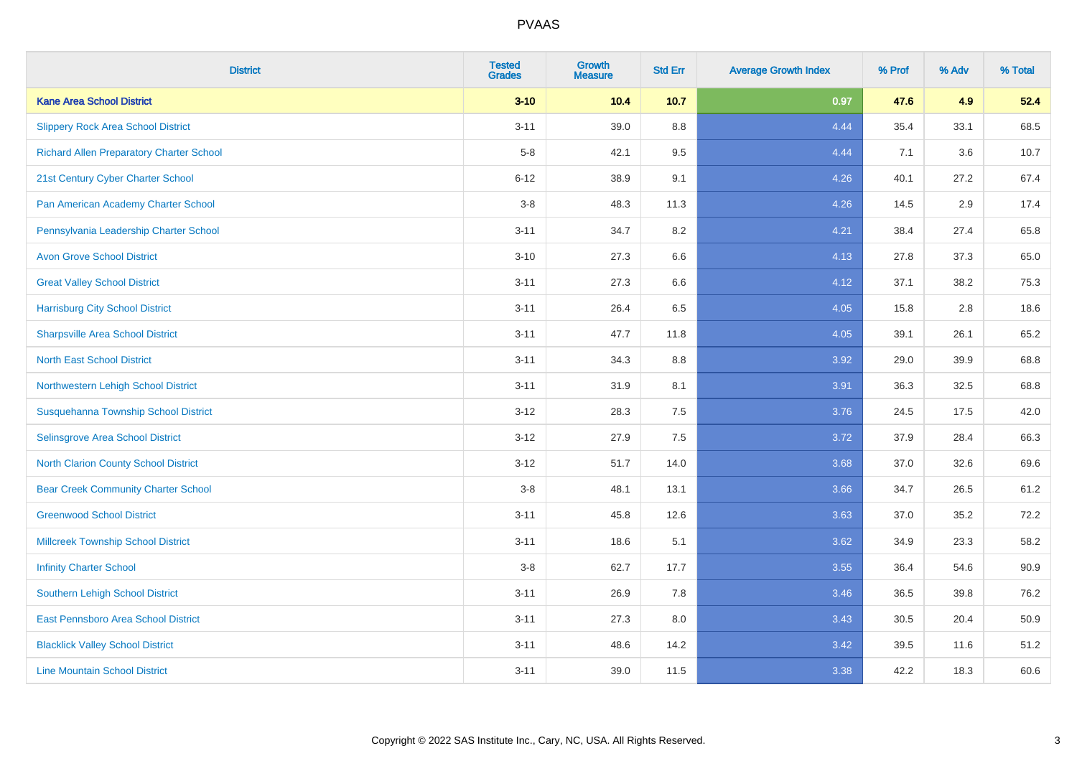| <b>District</b>                                 | <b>Tested</b><br><b>Grades</b> | <b>Growth</b><br><b>Measure</b> | <b>Std Err</b> | <b>Average Growth Index</b> | % Prof | % Adv | % Total |
|-------------------------------------------------|--------------------------------|---------------------------------|----------------|-----------------------------|--------|-------|---------|
| <b>Kane Area School District</b>                | $3 - 10$                       | 10.4                            | $10.7$         | 0.97                        | 47.6   | 4.9   | 52.4    |
| <b>Slippery Rock Area School District</b>       | $3 - 11$                       | 39.0                            | 8.8            | 4.44                        | 35.4   | 33.1  | 68.5    |
| <b>Richard Allen Preparatory Charter School</b> | $5-8$                          | 42.1                            | 9.5            | 4.44                        | 7.1    | 3.6   | 10.7    |
| 21st Century Cyber Charter School               | $6 - 12$                       | 38.9                            | 9.1            | 4.26                        | 40.1   | 27.2  | 67.4    |
| Pan American Academy Charter School             | $3-8$                          | 48.3                            | 11.3           | 4.26                        | 14.5   | 2.9   | 17.4    |
| Pennsylvania Leadership Charter School          | $3 - 11$                       | 34.7                            | 8.2            | 4.21                        | 38.4   | 27.4  | 65.8    |
| <b>Avon Grove School District</b>               | $3 - 10$                       | 27.3                            | 6.6            | 4.13                        | 27.8   | 37.3  | 65.0    |
| <b>Great Valley School District</b>             | $3 - 11$                       | 27.3                            | 6.6            | 4.12                        | 37.1   | 38.2  | 75.3    |
| <b>Harrisburg City School District</b>          | $3 - 11$                       | 26.4                            | 6.5            | 4.05                        | 15.8   | 2.8   | 18.6    |
| <b>Sharpsville Area School District</b>         | $3 - 11$                       | 47.7                            | 11.8           | 4.05                        | 39.1   | 26.1  | 65.2    |
| <b>North East School District</b>               | $3 - 11$                       | 34.3                            | 8.8            | 3.92                        | 29.0   | 39.9  | 68.8    |
| Northwestern Lehigh School District             | $3 - 11$                       | 31.9                            | 8.1            | 3.91                        | 36.3   | 32.5  | 68.8    |
| Susquehanna Township School District            | $3 - 12$                       | 28.3                            | 7.5            | 3.76                        | 24.5   | 17.5  | 42.0    |
| Selinsgrove Area School District                | $3 - 12$                       | 27.9                            | 7.5            | 3.72                        | 37.9   | 28.4  | 66.3    |
| <b>North Clarion County School District</b>     | $3 - 12$                       | 51.7                            | 14.0           | 3.68                        | 37.0   | 32.6  | 69.6    |
| <b>Bear Creek Community Charter School</b>      | $3-8$                          | 48.1                            | 13.1           | 3.66                        | 34.7   | 26.5  | 61.2    |
| <b>Greenwood School District</b>                | $3 - 11$                       | 45.8                            | 12.6           | 3.63                        | 37.0   | 35.2  | 72.2    |
| <b>Millcreek Township School District</b>       | $3 - 11$                       | 18.6                            | 5.1            | 3.62                        | 34.9   | 23.3  | 58.2    |
| <b>Infinity Charter School</b>                  | $3-8$                          | 62.7                            | 17.7           | 3.55                        | 36.4   | 54.6  | 90.9    |
| Southern Lehigh School District                 | $3 - 11$                       | 26.9                            | 7.8            | 3.46                        | 36.5   | 39.8  | 76.2    |
| East Pennsboro Area School District             | $3 - 11$                       | 27.3                            | 8.0            | 3.43                        | 30.5   | 20.4  | 50.9    |
| <b>Blacklick Valley School District</b>         | $3 - 11$                       | 48.6                            | 14.2           | 3.42                        | 39.5   | 11.6  | 51.2    |
| <b>Line Mountain School District</b>            | $3 - 11$                       | 39.0                            | 11.5           | 3.38                        | 42.2   | 18.3  | 60.6    |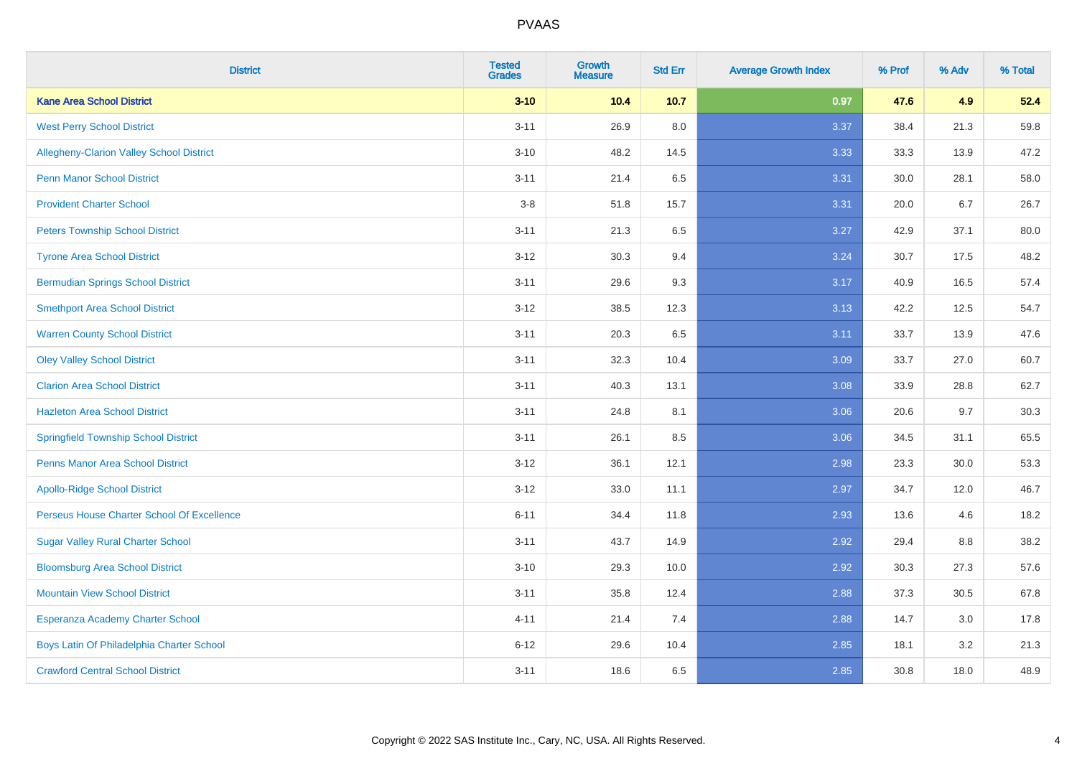| <b>District</b>                             | <b>Tested</b><br><b>Grades</b> | <b>Growth</b><br><b>Measure</b> | <b>Std Err</b> | <b>Average Growth Index</b> | % Prof | % Adv | % Total |
|---------------------------------------------|--------------------------------|---------------------------------|----------------|-----------------------------|--------|-------|---------|
| <b>Kane Area School District</b>            | $3 - 10$                       | 10.4                            | 10.7           | 0.97                        | 47.6   | 4.9   | 52.4    |
| <b>West Perry School District</b>           | $3 - 11$                       | 26.9                            | 8.0            | 3.37                        | 38.4   | 21.3  | 59.8    |
| Allegheny-Clarion Valley School District    | $3 - 10$                       | 48.2                            | 14.5           | 3.33                        | 33.3   | 13.9  | 47.2    |
| <b>Penn Manor School District</b>           | $3 - 11$                       | 21.4                            | 6.5            | 3.31                        | 30.0   | 28.1  | 58.0    |
| <b>Provident Charter School</b>             | $3-8$                          | 51.8                            | 15.7           | 3.31                        | 20.0   | 6.7   | 26.7    |
| <b>Peters Township School District</b>      | $3 - 11$                       | 21.3                            | 6.5            | 3.27                        | 42.9   | 37.1  | 80.0    |
| <b>Tyrone Area School District</b>          | $3 - 12$                       | 30.3                            | 9.4            | 3.24                        | 30.7   | 17.5  | 48.2    |
| <b>Bermudian Springs School District</b>    | $3 - 11$                       | 29.6                            | 9.3            | 3.17                        | 40.9   | 16.5  | 57.4    |
| <b>Smethport Area School District</b>       | $3 - 12$                       | 38.5                            | 12.3           | 3.13                        | 42.2   | 12.5  | 54.7    |
| <b>Warren County School District</b>        | $3 - 11$                       | 20.3                            | 6.5            | 3.11                        | 33.7   | 13.9  | 47.6    |
| <b>Oley Valley School District</b>          | $3 - 11$                       | 32.3                            | 10.4           | 3.09                        | 33.7   | 27.0  | 60.7    |
| <b>Clarion Area School District</b>         | $3 - 11$                       | 40.3                            | 13.1           | 3.08                        | 33.9   | 28.8  | 62.7    |
| <b>Hazleton Area School District</b>        | $3 - 11$                       | 24.8                            | 8.1            | 3.06                        | 20.6   | 9.7   | 30.3    |
| <b>Springfield Township School District</b> | $3 - 11$                       | 26.1                            | 8.5            | 3.06                        | 34.5   | 31.1  | 65.5    |
| <b>Penns Manor Area School District</b>     | $3 - 12$                       | 36.1                            | 12.1           | 2.98                        | 23.3   | 30.0  | 53.3    |
| <b>Apollo-Ridge School District</b>         | $3 - 12$                       | 33.0                            | 11.1           | 2.97                        | 34.7   | 12.0  | 46.7    |
| Perseus House Charter School Of Excellence  | $6 - 11$                       | 34.4                            | 11.8           | 2.93                        | 13.6   | 4.6   | 18.2    |
| <b>Sugar Valley Rural Charter School</b>    | $3 - 11$                       | 43.7                            | 14.9           | 2.92                        | 29.4   | 8.8   | 38.2    |
| <b>Bloomsburg Area School District</b>      | $3 - 10$                       | 29.3                            | 10.0           | 2.92                        | 30.3   | 27.3  | 57.6    |
| <b>Mountain View School District</b>        | $3 - 11$                       | 35.8                            | 12.4           | 2.88                        | 37.3   | 30.5  | 67.8    |
| Esperanza Academy Charter School            | $4 - 11$                       | 21.4                            | 7.4            | 2.88                        | 14.7   | 3.0   | 17.8    |
| Boys Latin Of Philadelphia Charter School   | $6 - 12$                       | 29.6                            | 10.4           | 2.85                        | 18.1   | 3.2   | 21.3    |
| <b>Crawford Central School District</b>     | $3 - 11$                       | 18.6                            | 6.5            | 2.85                        | 30.8   | 18.0  | 48.9    |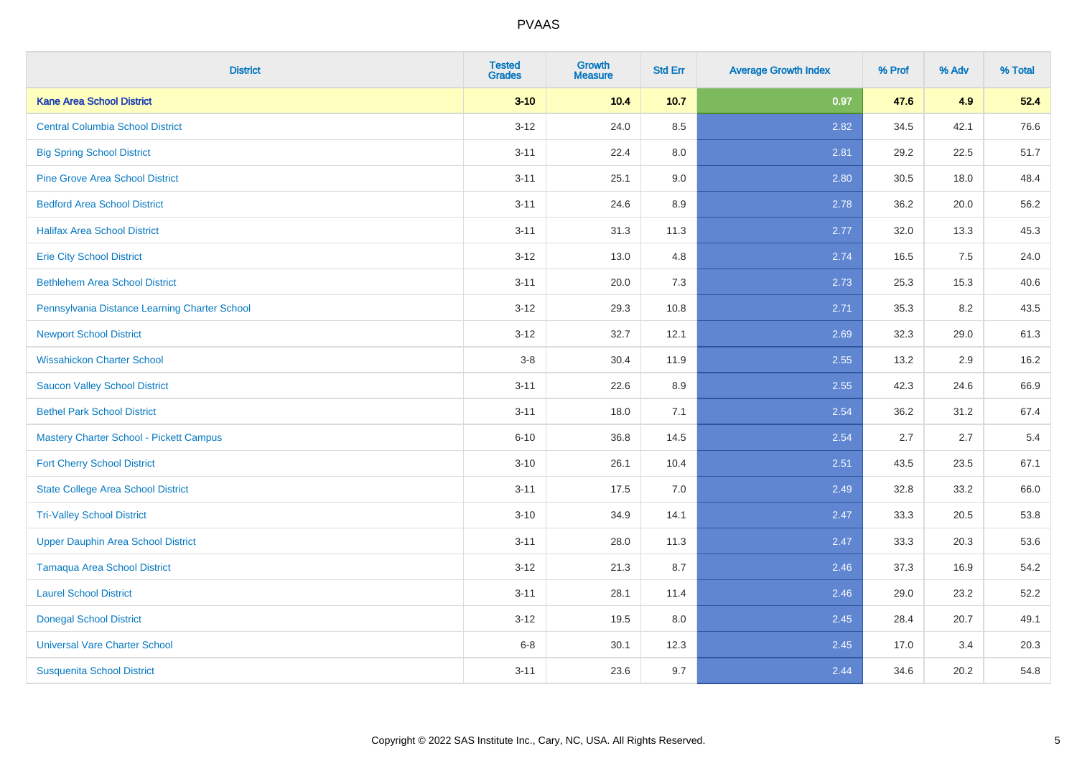| <b>District</b>                                | <b>Tested</b><br><b>Grades</b> | Growth<br><b>Measure</b> | <b>Std Err</b> | <b>Average Growth Index</b> | % Prof | % Adv | % Total |
|------------------------------------------------|--------------------------------|--------------------------|----------------|-----------------------------|--------|-------|---------|
| <b>Kane Area School District</b>               | $3 - 10$                       | 10.4                     | 10.7           | 0.97                        | 47.6   | 4.9   | 52.4    |
| <b>Central Columbia School District</b>        | $3 - 12$                       | 24.0                     | 8.5            | 2.82                        | 34.5   | 42.1  | 76.6    |
| <b>Big Spring School District</b>              | $3 - 11$                       | 22.4                     | 8.0            | 2.81                        | 29.2   | 22.5  | 51.7    |
| <b>Pine Grove Area School District</b>         | $3 - 11$                       | 25.1                     | 9.0            | 2.80                        | 30.5   | 18.0  | 48.4    |
| <b>Bedford Area School District</b>            | $3 - 11$                       | 24.6                     | 8.9            | 2.78                        | 36.2   | 20.0  | 56.2    |
| <b>Halifax Area School District</b>            | $3 - 11$                       | 31.3                     | 11.3           | 2.77                        | 32.0   | 13.3  | 45.3    |
| <b>Erie City School District</b>               | $3 - 12$                       | 13.0                     | 4.8            | 2.74                        | 16.5   | 7.5   | 24.0    |
| <b>Bethlehem Area School District</b>          | $3 - 11$                       | 20.0                     | 7.3            | 2.73                        | 25.3   | 15.3  | 40.6    |
| Pennsylvania Distance Learning Charter School  | $3 - 12$                       | 29.3                     | 10.8           | 2.71                        | 35.3   | 8.2   | 43.5    |
| <b>Newport School District</b>                 | $3 - 12$                       | 32.7                     | 12.1           | 2.69                        | 32.3   | 29.0  | 61.3    |
| <b>Wissahickon Charter School</b>              | $3-8$                          | 30.4                     | 11.9           | 2.55                        | 13.2   | 2.9   | 16.2    |
| <b>Saucon Valley School District</b>           | $3 - 11$                       | 22.6                     | 8.9            | 2.55                        | 42.3   | 24.6  | 66.9    |
| <b>Bethel Park School District</b>             | $3 - 11$                       | 18.0                     | 7.1            | 2.54                        | 36.2   | 31.2  | 67.4    |
| <b>Mastery Charter School - Pickett Campus</b> | $6 - 10$                       | 36.8                     | 14.5           | 2.54                        | 2.7    | 2.7   | 5.4     |
| <b>Fort Cherry School District</b>             | $3 - 10$                       | 26.1                     | 10.4           | 2.51                        | 43.5   | 23.5  | 67.1    |
| <b>State College Area School District</b>      | $3 - 11$                       | 17.5                     | 7.0            | 2.49                        | 32.8   | 33.2  | 66.0    |
| <b>Tri-Valley School District</b>              | $3 - 10$                       | 34.9                     | 14.1           | 2.47                        | 33.3   | 20.5  | 53.8    |
| <b>Upper Dauphin Area School District</b>      | $3 - 11$                       | 28.0                     | 11.3           | 2.47                        | 33.3   | 20.3  | 53.6    |
| <b>Tamaqua Area School District</b>            | $3 - 12$                       | 21.3                     | 8.7            | 2.46                        | 37.3   | 16.9  | 54.2    |
| <b>Laurel School District</b>                  | $3 - 11$                       | 28.1                     | 11.4           | 2.46                        | 29.0   | 23.2  | 52.2    |
| <b>Donegal School District</b>                 | $3 - 12$                       | 19.5                     | 8.0            | 2.45                        | 28.4   | 20.7  | 49.1    |
| <b>Universal Vare Charter School</b>           | $6 - 8$                        | 30.1                     | 12.3           | 2.45                        | 17.0   | 3.4   | 20.3    |
| <b>Susquenita School District</b>              | $3 - 11$                       | 23.6                     | 9.7            | 2.44                        | 34.6   | 20.2  | 54.8    |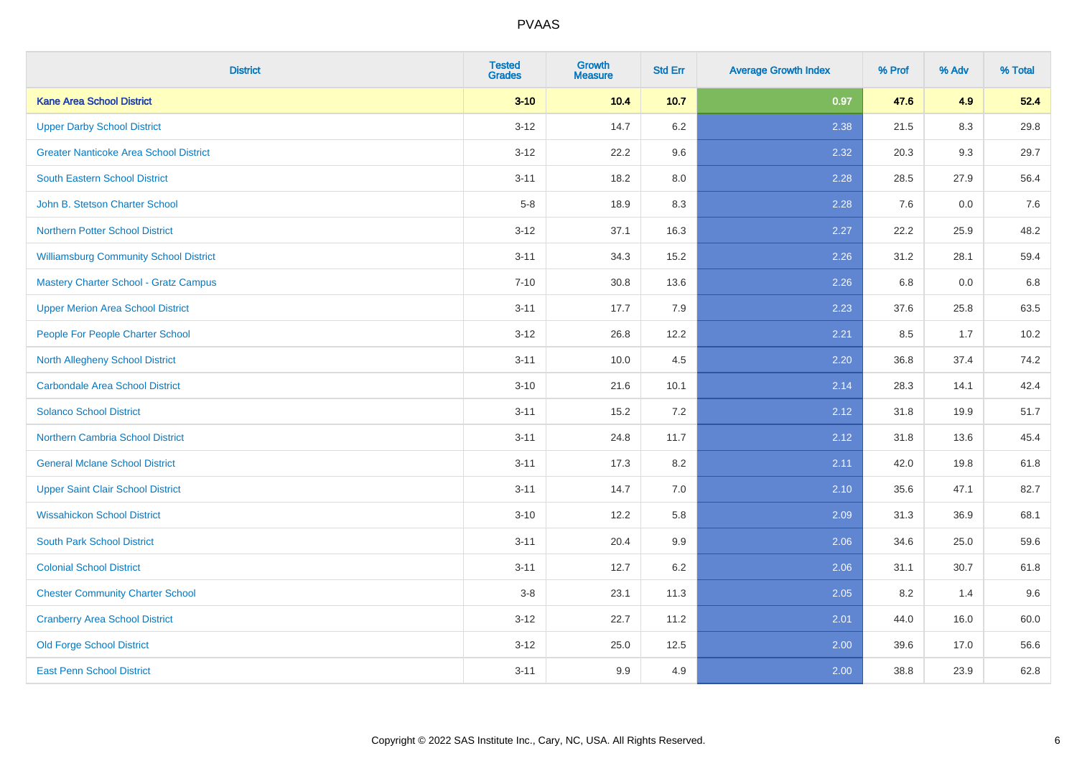| <b>District</b>                               | <b>Tested</b><br><b>Grades</b> | Growth<br><b>Measure</b> | <b>Std Err</b> | <b>Average Growth Index</b> | % Prof | % Adv | % Total |
|-----------------------------------------------|--------------------------------|--------------------------|----------------|-----------------------------|--------|-------|---------|
| <b>Kane Area School District</b>              | $3 - 10$                       | 10.4                     | 10.7           | 0.97                        | 47.6   | 4.9   | 52.4    |
| <b>Upper Darby School District</b>            | $3 - 12$                       | 14.7                     | 6.2            | 2.38                        | 21.5   | 8.3   | 29.8    |
| <b>Greater Nanticoke Area School District</b> | $3 - 12$                       | 22.2                     | 9.6            | 2.32                        | 20.3   | 9.3   | 29.7    |
| South Eastern School District                 | $3 - 11$                       | 18.2                     | 8.0            | 2.28                        | 28.5   | 27.9  | 56.4    |
| John B. Stetson Charter School                | $5-8$                          | 18.9                     | 8.3            | 2.28                        | 7.6    | 0.0   | 7.6     |
| <b>Northern Potter School District</b>        | $3 - 12$                       | 37.1                     | 16.3           | 2.27                        | 22.2   | 25.9  | 48.2    |
| <b>Williamsburg Community School District</b> | $3 - 11$                       | 34.3                     | 15.2           | 2.26                        | 31.2   | 28.1  | 59.4    |
| <b>Mastery Charter School - Gratz Campus</b>  | $7 - 10$                       | 30.8                     | 13.6           | 2.26                        | 6.8    | 0.0   | $6.8\,$ |
| <b>Upper Merion Area School District</b>      | $3 - 11$                       | 17.7                     | 7.9            | 2.23                        | 37.6   | 25.8  | 63.5    |
| People For People Charter School              | $3-12$                         | 26.8                     | 12.2           | 2.21                        | 8.5    | 1.7   | 10.2    |
| North Allegheny School District               | $3 - 11$                       | 10.0                     | 4.5            | 2.20                        | 36.8   | 37.4  | 74.2    |
| <b>Carbondale Area School District</b>        | $3 - 10$                       | 21.6                     | 10.1           | 2.14                        | 28.3   | 14.1  | 42.4    |
| <b>Solanco School District</b>                | $3 - 11$                       | 15.2                     | 7.2            | 2.12                        | 31.8   | 19.9  | 51.7    |
| <b>Northern Cambria School District</b>       | $3 - 11$                       | 24.8                     | 11.7           | 2.12                        | 31.8   | 13.6  | 45.4    |
| <b>General Mclane School District</b>         | $3 - 11$                       | 17.3                     | 8.2            | 2.11                        | 42.0   | 19.8  | 61.8    |
| <b>Upper Saint Clair School District</b>      | $3 - 11$                       | 14.7                     | 7.0            | 2.10                        | 35.6   | 47.1  | 82.7    |
| <b>Wissahickon School District</b>            | $3 - 10$                       | 12.2                     | 5.8            | 2.09                        | 31.3   | 36.9  | 68.1    |
| <b>South Park School District</b>             | $3 - 11$                       | 20.4                     | 9.9            | 2.06                        | 34.6   | 25.0  | 59.6    |
| <b>Colonial School District</b>               | $3 - 11$                       | 12.7                     | 6.2            | 2.06                        | 31.1   | 30.7  | 61.8    |
| <b>Chester Community Charter School</b>       | $3 - 8$                        | 23.1                     | 11.3           | 2.05                        | 8.2    | 1.4   | 9.6     |
| <b>Cranberry Area School District</b>         | $3 - 12$                       | 22.7                     | 11.2           | 2.01                        | 44.0   | 16.0  | 60.0    |
| <b>Old Forge School District</b>              | $3 - 12$                       | 25.0                     | 12.5           | 2.00                        | 39.6   | 17.0  | 56.6    |
| <b>East Penn School District</b>              | $3 - 11$                       | 9.9                      | 4.9            | 2.00                        | 38.8   | 23.9  | 62.8    |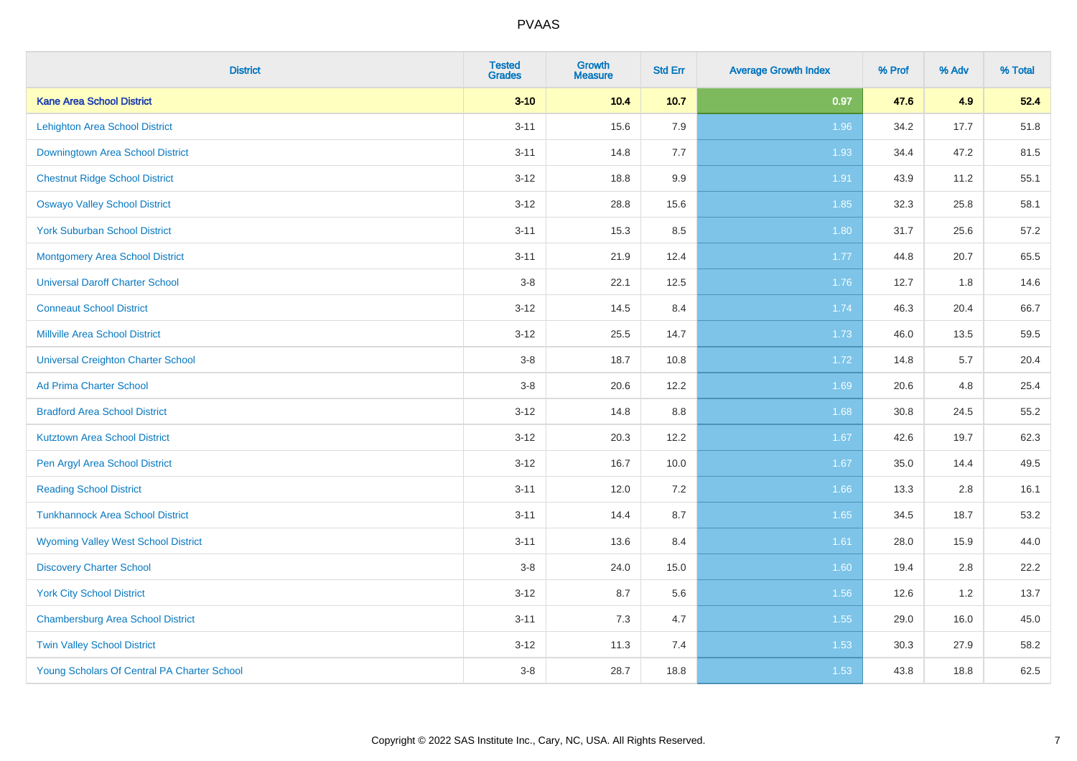| <b>District</b>                             | <b>Tested</b><br><b>Grades</b> | <b>Growth</b><br><b>Measure</b> | <b>Std Err</b> | <b>Average Growth Index</b> | % Prof | % Adv | % Total |
|---------------------------------------------|--------------------------------|---------------------------------|----------------|-----------------------------|--------|-------|---------|
| <b>Kane Area School District</b>            | $3 - 10$                       | 10.4                            | $10.7$         | 0.97                        | 47.6   | 4.9   | 52.4    |
| <b>Lehighton Area School District</b>       | $3 - 11$                       | 15.6                            | 7.9            | 1.96                        | 34.2   | 17.7  | 51.8    |
| Downingtown Area School District            | $3 - 11$                       | 14.8                            | 7.7            | 1.93                        | 34.4   | 47.2  | 81.5    |
| <b>Chestnut Ridge School District</b>       | $3 - 12$                       | 18.8                            | 9.9            | 1.91                        | 43.9   | 11.2  | 55.1    |
| <b>Oswayo Valley School District</b>        | $3 - 12$                       | 28.8                            | 15.6           | 1.85                        | 32.3   | 25.8  | 58.1    |
| <b>York Suburban School District</b>        | $3 - 11$                       | 15.3                            | 8.5            | 1.80                        | 31.7   | 25.6  | 57.2    |
| <b>Montgomery Area School District</b>      | $3 - 11$                       | 21.9                            | 12.4           | 1.77                        | 44.8   | 20.7  | 65.5    |
| <b>Universal Daroff Charter School</b>      | $3-8$                          | 22.1                            | 12.5           | 1.76                        | 12.7   | 1.8   | 14.6    |
| <b>Conneaut School District</b>             | $3-12$                         | 14.5                            | 8.4            | 1.74                        | 46.3   | 20.4  | 66.7    |
| <b>Millville Area School District</b>       | $3 - 12$                       | 25.5                            | 14.7           | 1.73                        | 46.0   | 13.5  | 59.5    |
| <b>Universal Creighton Charter School</b>   | $3-8$                          | 18.7                            | 10.8           | 1.72                        | 14.8   | 5.7   | 20.4    |
| <b>Ad Prima Charter School</b>              | $3-8$                          | 20.6                            | 12.2           | 1.69                        | 20.6   | 4.8   | 25.4    |
| <b>Bradford Area School District</b>        | $3 - 12$                       | 14.8                            | $8.8\,$        | 1.68                        | 30.8   | 24.5  | 55.2    |
| <b>Kutztown Area School District</b>        | $3 - 12$                       | 20.3                            | 12.2           | 1.67                        | 42.6   | 19.7  | 62.3    |
| Pen Argyl Area School District              | $3 - 12$                       | 16.7                            | 10.0           | 1.67                        | 35.0   | 14.4  | 49.5    |
| <b>Reading School District</b>              | $3 - 11$                       | 12.0                            | 7.2            | 1.66                        | 13.3   | 2.8   | 16.1    |
| <b>Tunkhannock Area School District</b>     | $3 - 11$                       | 14.4                            | 8.7            | 1.65                        | 34.5   | 18.7  | 53.2    |
| <b>Wyoming Valley West School District</b>  | $3 - 11$                       | 13.6                            | 8.4            | 1.61                        | 28.0   | 15.9  | 44.0    |
| <b>Discovery Charter School</b>             | $3-8$                          | 24.0                            | 15.0           | 1.60                        | 19.4   | 2.8   | 22.2    |
| <b>York City School District</b>            | $3 - 12$                       | 8.7                             | 5.6            | 1.56                        | 12.6   | 1.2   | 13.7    |
| <b>Chambersburg Area School District</b>    | $3 - 11$                       | $7.3$                           | 4.7            | 1.55                        | 29.0   | 16.0  | 45.0    |
| <b>Twin Valley School District</b>          | $3 - 12$                       | 11.3                            | 7.4            | 1.53                        | 30.3   | 27.9  | 58.2    |
| Young Scholars Of Central PA Charter School | $3-8$                          | 28.7                            | 18.8           | 1.53                        | 43.8   | 18.8  | 62.5    |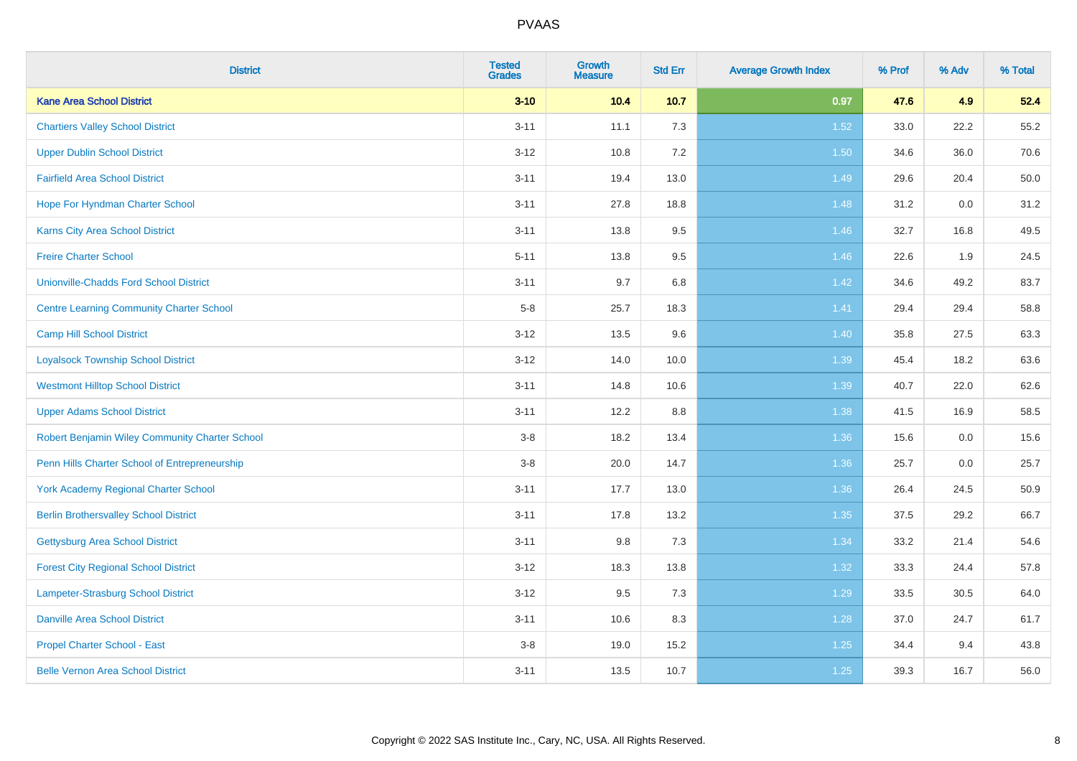| <b>District</b>                                 | <b>Tested</b><br><b>Grades</b> | <b>Growth</b><br><b>Measure</b> | <b>Std Err</b> | <b>Average Growth Index</b> | % Prof | % Adv | % Total |
|-------------------------------------------------|--------------------------------|---------------------------------|----------------|-----------------------------|--------|-------|---------|
| <b>Kane Area School District</b>                | $3 - 10$                       | 10.4                            | $10.7$         | 0.97                        | 47.6   | 4.9   | 52.4    |
| <b>Chartiers Valley School District</b>         | $3 - 11$                       | 11.1                            | 7.3            | 1.52                        | 33.0   | 22.2  | 55.2    |
| <b>Upper Dublin School District</b>             | $3 - 12$                       | 10.8                            | 7.2            | 1.50                        | 34.6   | 36.0  | 70.6    |
| <b>Fairfield Area School District</b>           | $3 - 11$                       | 19.4                            | 13.0           | 1.49                        | 29.6   | 20.4  | 50.0    |
| Hope For Hyndman Charter School                 | $3 - 11$                       | 27.8                            | 18.8           | 1.48                        | 31.2   | 0.0   | 31.2    |
| <b>Karns City Area School District</b>          | $3 - 11$                       | 13.8                            | 9.5            | 1.46                        | 32.7   | 16.8  | 49.5    |
| <b>Freire Charter School</b>                    | $5 - 11$                       | 13.8                            | $9.5\,$        | 1.46                        | 22.6   | 1.9   | 24.5    |
| <b>Unionville-Chadds Ford School District</b>   | $3 - 11$                       | 9.7                             | 6.8            | 1.42                        | 34.6   | 49.2  | 83.7    |
| <b>Centre Learning Community Charter School</b> | $5-8$                          | 25.7                            | 18.3           | 1.41                        | 29.4   | 29.4  | 58.8    |
| <b>Camp Hill School District</b>                | $3 - 12$                       | 13.5                            | 9.6            | 1.40                        | 35.8   | 27.5  | 63.3    |
| <b>Loyalsock Township School District</b>       | $3 - 12$                       | 14.0                            | 10.0           | 1.39                        | 45.4   | 18.2  | 63.6    |
| <b>Westmont Hilltop School District</b>         | $3 - 11$                       | 14.8                            | 10.6           | 1.39                        | 40.7   | 22.0  | 62.6    |
| <b>Upper Adams School District</b>              | $3 - 11$                       | 12.2                            | 8.8            | 1.38                        | 41.5   | 16.9  | 58.5    |
| Robert Benjamin Wiley Community Charter School  | $3-8$                          | 18.2                            | 13.4           | 1.36                        | 15.6   | 0.0   | 15.6    |
| Penn Hills Charter School of Entrepreneurship   | $3 - 8$                        | 20.0                            | 14.7           | 1.36                        | 25.7   | 0.0   | 25.7    |
| <b>York Academy Regional Charter School</b>     | $3 - 11$                       | 17.7                            | 13.0           | 1.36                        | 26.4   | 24.5  | 50.9    |
| <b>Berlin Brothersvalley School District</b>    | $3 - 11$                       | 17.8                            | 13.2           | 1.35                        | 37.5   | 29.2  | 66.7    |
| Gettysburg Area School District                 | $3 - 11$                       | 9.8                             | 7.3            | 1.34                        | 33.2   | 21.4  | 54.6    |
| <b>Forest City Regional School District</b>     | $3 - 12$                       | 18.3                            | 13.8           | 1.32                        | 33.3   | 24.4  | 57.8    |
| Lampeter-Strasburg School District              | $3-12$                         | 9.5                             | 7.3            | 1.29                        | 33.5   | 30.5  | 64.0    |
| <b>Danville Area School District</b>            | $3 - 11$                       | 10.6                            | 8.3            | 1.28                        | 37.0   | 24.7  | 61.7    |
| <b>Propel Charter School - East</b>             | $3-8$                          | 19.0                            | 15.2           | $1.25$                      | 34.4   | 9.4   | 43.8    |
| <b>Belle Vernon Area School District</b>        | $3 - 11$                       | 13.5                            | 10.7           | $1.25$                      | 39.3   | 16.7  | 56.0    |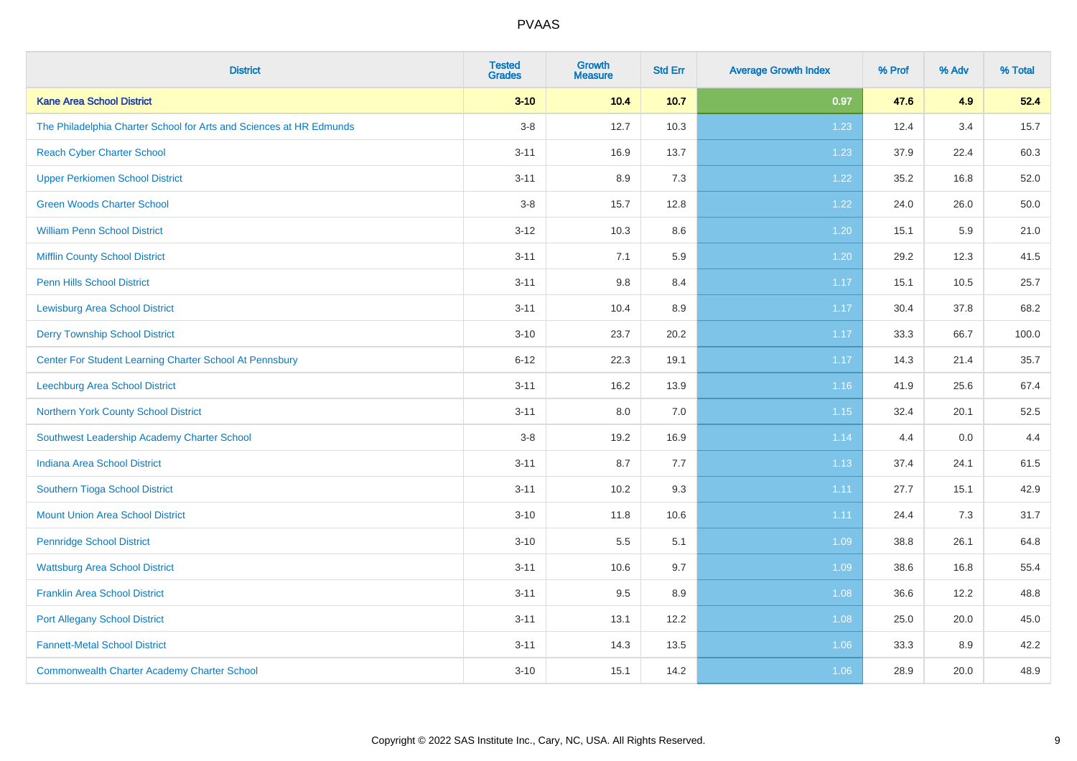| <b>District</b>                                                     | <b>Tested</b><br><b>Grades</b> | Growth<br><b>Measure</b> | <b>Std Err</b> | <b>Average Growth Index</b> | % Prof | % Adv | % Total |
|---------------------------------------------------------------------|--------------------------------|--------------------------|----------------|-----------------------------|--------|-------|---------|
| <b>Kane Area School District</b>                                    | $3 - 10$                       | 10.4                     | 10.7           | 0.97                        | 47.6   | 4.9   | 52.4    |
| The Philadelphia Charter School for Arts and Sciences at HR Edmunds | $3-8$                          | 12.7                     | 10.3           | 1.23                        | 12.4   | 3.4   | 15.7    |
| <b>Reach Cyber Charter School</b>                                   | $3 - 11$                       | 16.9                     | 13.7           | 1.23                        | 37.9   | 22.4  | 60.3    |
| <b>Upper Perkiomen School District</b>                              | $3 - 11$                       | 8.9                      | 7.3            | 1.22                        | 35.2   | 16.8  | 52.0    |
| <b>Green Woods Charter School</b>                                   | $3 - 8$                        | 15.7                     | 12.8           | 1.22                        | 24.0   | 26.0  | 50.0    |
| <b>William Penn School District</b>                                 | $3 - 12$                       | 10.3                     | 8.6            | 1.20                        | 15.1   | 5.9   | 21.0    |
| <b>Mifflin County School District</b>                               | $3 - 11$                       | 7.1                      | 5.9            | 1.20                        | 29.2   | 12.3  | 41.5    |
| <b>Penn Hills School District</b>                                   | $3 - 11$                       | $9.8\,$                  | 8.4            | 1.17                        | 15.1   | 10.5  | 25.7    |
| <b>Lewisburg Area School District</b>                               | $3 - 11$                       | 10.4                     | 8.9            | 1.17                        | 30.4   | 37.8  | 68.2    |
| <b>Derry Township School District</b>                               | $3 - 10$                       | 23.7                     | 20.2           | 1.17                        | 33.3   | 66.7  | 100.0   |
| Center For Student Learning Charter School At Pennsbury             | $6 - 12$                       | 22.3                     | 19.1           | 1.17                        | 14.3   | 21.4  | 35.7    |
| Leechburg Area School District                                      | $3 - 11$                       | 16.2                     | 13.9           | 1.16                        | 41.9   | 25.6  | 67.4    |
| Northern York County School District                                | $3 - 11$                       | 8.0                      | 7.0            | 1.15                        | 32.4   | 20.1  | 52.5    |
| Southwest Leadership Academy Charter School                         | $3 - 8$                        | 19.2                     | 16.9           | 1.14                        | 4.4    | 0.0   | 4.4     |
| <b>Indiana Area School District</b>                                 | $3 - 11$                       | 8.7                      | 7.7            | 1.13                        | 37.4   | 24.1  | 61.5    |
| Southern Tioga School District                                      | $3 - 11$                       | 10.2                     | 9.3            | 1.11                        | 27.7   | 15.1  | 42.9    |
| <b>Mount Union Area School District</b>                             | $3 - 10$                       | 11.8                     | 10.6           | 1.11                        | 24.4   | 7.3   | 31.7    |
| <b>Pennridge School District</b>                                    | $3 - 10$                       | 5.5                      | 5.1            | 1.09                        | 38.8   | 26.1  | 64.8    |
| <b>Wattsburg Area School District</b>                               | $3 - 11$                       | 10.6                     | 9.7            | 1.09                        | 38.6   | 16.8  | 55.4    |
| <b>Franklin Area School District</b>                                | $3 - 11$                       | 9.5                      | 8.9            | 1.08                        | 36.6   | 12.2  | 48.8    |
| <b>Port Allegany School District</b>                                | $3 - 11$                       | 13.1                     | 12.2           | 1.08                        | 25.0   | 20.0  | 45.0    |
| <b>Fannett-Metal School District</b>                                | $3 - 11$                       | 14.3                     | 13.5           | 1.06                        | 33.3   | 8.9   | 42.2    |
| <b>Commonwealth Charter Academy Charter School</b>                  | $3 - 10$                       | 15.1                     | 14.2           | 1.06                        | 28.9   | 20.0  | 48.9    |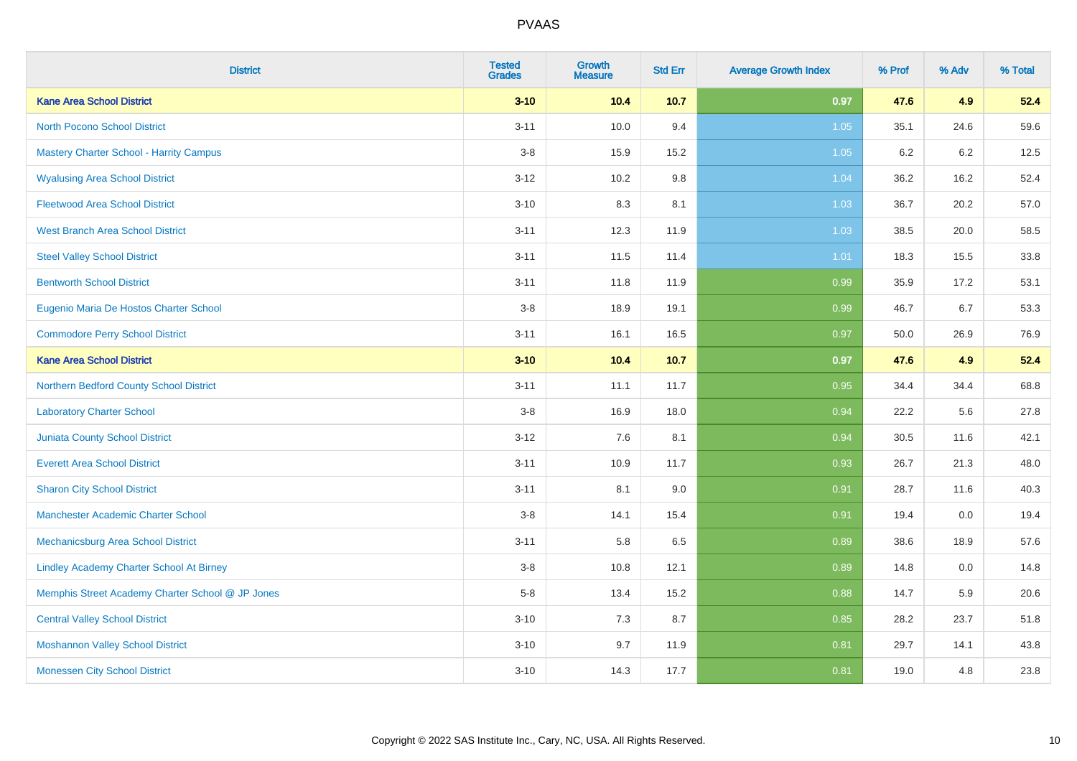| <b>District</b>                                  | <b>Tested</b><br><b>Grades</b> | <b>Growth</b><br><b>Measure</b> | <b>Std Err</b> | <b>Average Growth Index</b> | % Prof | % Adv | % Total |
|--------------------------------------------------|--------------------------------|---------------------------------|----------------|-----------------------------|--------|-------|---------|
| <b>Kane Area School District</b>                 | $3 - 10$                       | 10.4                            | $10.7$         | 0.97                        | 47.6   | 4.9   | 52.4    |
| <b>North Pocono School District</b>              | $3 - 11$                       | 10.0                            | 9.4            | 1.05                        | 35.1   | 24.6  | 59.6    |
| <b>Mastery Charter School - Harrity Campus</b>   | $3-8$                          | 15.9                            | 15.2           | 1.05                        | 6.2    | 6.2   | 12.5    |
| <b>Wyalusing Area School District</b>            | $3 - 12$                       | 10.2                            | 9.8            | 1.04                        | 36.2   | 16.2  | 52.4    |
| <b>Fleetwood Area School District</b>            | $3 - 10$                       | 8.3                             | 8.1            | 1.03                        | 36.7   | 20.2  | 57.0    |
| <b>West Branch Area School District</b>          | $3 - 11$                       | 12.3                            | 11.9           | 1.03                        | 38.5   | 20.0  | 58.5    |
| <b>Steel Valley School District</b>              | $3 - 11$                       | 11.5                            | 11.4           | 1.01                        | 18.3   | 15.5  | 33.8    |
| <b>Bentworth School District</b>                 | $3 - 11$                       | 11.8                            | 11.9           | 0.99                        | 35.9   | 17.2  | 53.1    |
| Eugenio Maria De Hostos Charter School           | $3 - 8$                        | 18.9                            | 19.1           | 0.99                        | 46.7   | 6.7   | 53.3    |
| <b>Commodore Perry School District</b>           | $3 - 11$                       | 16.1                            | 16.5           | 0.97                        | 50.0   | 26.9  | 76.9    |
| <b>Kane Area School District</b>                 | $3 - 10$                       | 10.4                            | 10.7           | 0.97                        | 47.6   | 4.9   | 52.4    |
| Northern Bedford County School District          | $3 - 11$                       | 11.1                            | 11.7           | 0.95                        | 34.4   | 34.4  | 68.8    |
| <b>Laboratory Charter School</b>                 | $3-8$                          | 16.9                            | 18.0           | 0.94                        | 22.2   | 5.6   | 27.8    |
| <b>Juniata County School District</b>            | $3 - 12$                       | 7.6                             | 8.1            | 0.94                        | 30.5   | 11.6  | 42.1    |
| <b>Everett Area School District</b>              | $3 - 11$                       | 10.9                            | 11.7           | 0.93                        | 26.7   | 21.3  | 48.0    |
| <b>Sharon City School District</b>               | $3 - 11$                       | 8.1                             | 9.0            | 0.91                        | 28.7   | 11.6  | 40.3    |
| <b>Manchester Academic Charter School</b>        | $3-8$                          | 14.1                            | 15.4           | 0.91                        | 19.4   | 0.0   | 19.4    |
| <b>Mechanicsburg Area School District</b>        | $3 - 11$                       | 5.8                             | 6.5            | 0.89                        | 38.6   | 18.9  | 57.6    |
| <b>Lindley Academy Charter School At Birney</b>  | $3-8$                          | 10.8                            | 12.1           | 0.89                        | 14.8   | 0.0   | 14.8    |
| Memphis Street Academy Charter School @ JP Jones | $5-8$                          | 13.4                            | 15.2           | 0.88                        | 14.7   | 5.9   | 20.6    |
| <b>Central Valley School District</b>            | $3 - 10$                       | 7.3                             | 8.7            | 0.85                        | 28.2   | 23.7  | 51.8    |
| <b>Moshannon Valley School District</b>          | $3 - 10$                       | 9.7                             | 11.9           | 0.81                        | 29.7   | 14.1  | 43.8    |
| <b>Monessen City School District</b>             | $3 - 10$                       | 14.3                            | 17.7           | 0.81                        | 19.0   | 4.8   | 23.8    |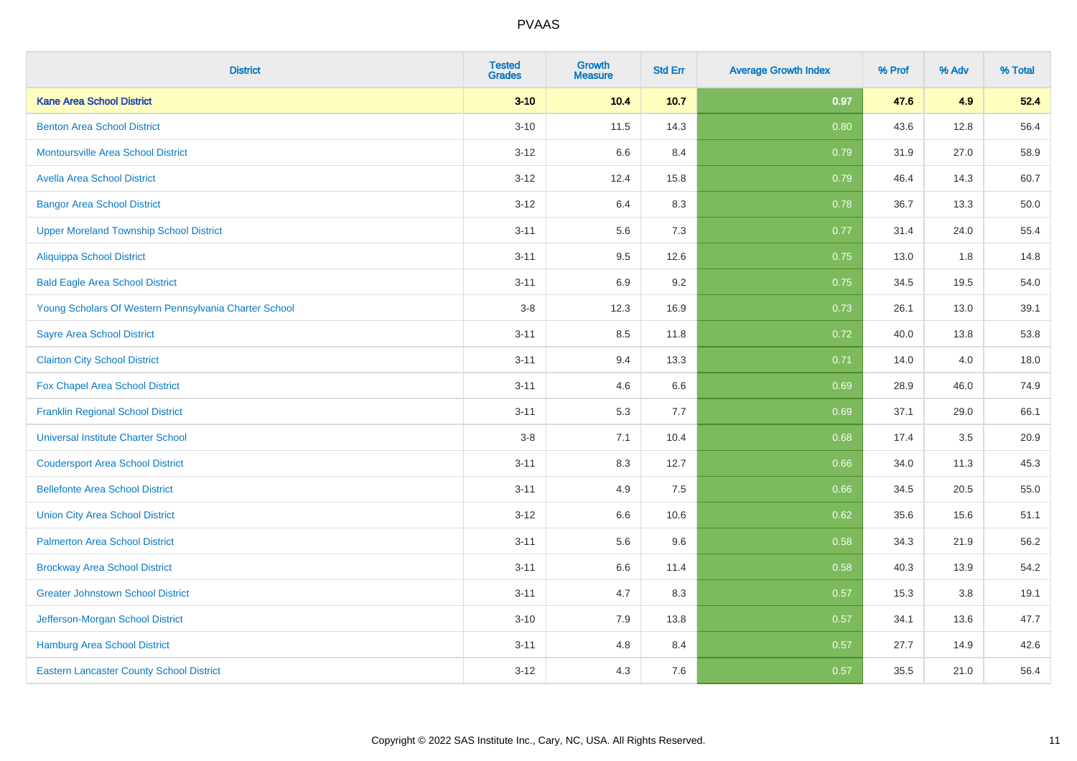| <b>District</b>                                       | <b>Tested</b><br><b>Grades</b> | Growth<br><b>Measure</b> | <b>Std Err</b> | <b>Average Growth Index</b> | % Prof | % Adv | % Total |
|-------------------------------------------------------|--------------------------------|--------------------------|----------------|-----------------------------|--------|-------|---------|
| <b>Kane Area School District</b>                      | $3 - 10$                       | 10.4                     | 10.7           | 0.97                        | 47.6   | 4.9   | 52.4    |
| <b>Benton Area School District</b>                    | $3 - 10$                       | 11.5                     | 14.3           | 0.80                        | 43.6   | 12.8  | 56.4    |
| <b>Montoursville Area School District</b>             | $3 - 12$                       | 6.6                      | 8.4            | 0.79                        | 31.9   | 27.0  | 58.9    |
| <b>Avella Area School District</b>                    | $3 - 12$                       | 12.4                     | 15.8           | 0.79                        | 46.4   | 14.3  | 60.7    |
| <b>Bangor Area School District</b>                    | $3 - 12$                       | 6.4                      | 8.3            | 0.78                        | 36.7   | 13.3  | 50.0    |
| <b>Upper Moreland Township School District</b>        | $3 - 11$                       | 5.6                      | 7.3            | 0.77                        | 31.4   | 24.0  | 55.4    |
| <b>Aliquippa School District</b>                      | $3 - 11$                       | 9.5                      | 12.6           | 0.75                        | 13.0   | 1.8   | 14.8    |
| <b>Bald Eagle Area School District</b>                | $3 - 11$                       | 6.9                      | 9.2            | 0.75                        | 34.5   | 19.5  | 54.0    |
| Young Scholars Of Western Pennsylvania Charter School | $3 - 8$                        | 12.3                     | 16.9           | 0.73                        | 26.1   | 13.0  | 39.1    |
| <b>Sayre Area School District</b>                     | $3 - 11$                       | 8.5                      | 11.8           | 0.72                        | 40.0   | 13.8  | 53.8    |
| <b>Clairton City School District</b>                  | $3 - 11$                       | 9.4                      | 13.3           | 0.71                        | 14.0   | 4.0   | 18.0    |
| Fox Chapel Area School District                       | $3 - 11$                       | 4.6                      | 6.6            | 0.69                        | 28.9   | 46.0  | 74.9    |
| <b>Franklin Regional School District</b>              | $3 - 11$                       | 5.3                      | 7.7            | 0.69                        | 37.1   | 29.0  | 66.1    |
| <b>Universal Institute Charter School</b>             | $3-8$                          | 7.1                      | 10.4           | 0.68                        | 17.4   | 3.5   | 20.9    |
| <b>Coudersport Area School District</b>               | $3 - 11$                       | 8.3                      | 12.7           | 0.66                        | 34.0   | 11.3  | 45.3    |
| <b>Bellefonte Area School District</b>                | $3 - 11$                       | 4.9                      | 7.5            | 0.66                        | 34.5   | 20.5  | 55.0    |
| <b>Union City Area School District</b>                | $3 - 12$                       | 6.6                      | 10.6           | 0.62                        | 35.6   | 15.6  | 51.1    |
| <b>Palmerton Area School District</b>                 | $3 - 11$                       | 5.6                      | 9.6            | 0.58                        | 34.3   | 21.9  | 56.2    |
| <b>Brockway Area School District</b>                  | $3 - 11$                       | 6.6                      | 11.4           | 0.58                        | 40.3   | 13.9  | 54.2    |
| <b>Greater Johnstown School District</b>              | $3 - 11$                       | 4.7                      | 8.3            | 0.57                        | 15.3   | 3.8   | 19.1    |
| Jefferson-Morgan School District                      | $3 - 10$                       | 7.9                      | 13.8           | 0.57                        | 34.1   | 13.6  | 47.7    |
| <b>Hamburg Area School District</b>                   | $3 - 11$                       | 4.8                      | 8.4            | 0.57                        | 27.7   | 14.9  | 42.6    |
| <b>Eastern Lancaster County School District</b>       | $3 - 12$                       | 4.3                      | 7.6            | 0.57                        | 35.5   | 21.0  | 56.4    |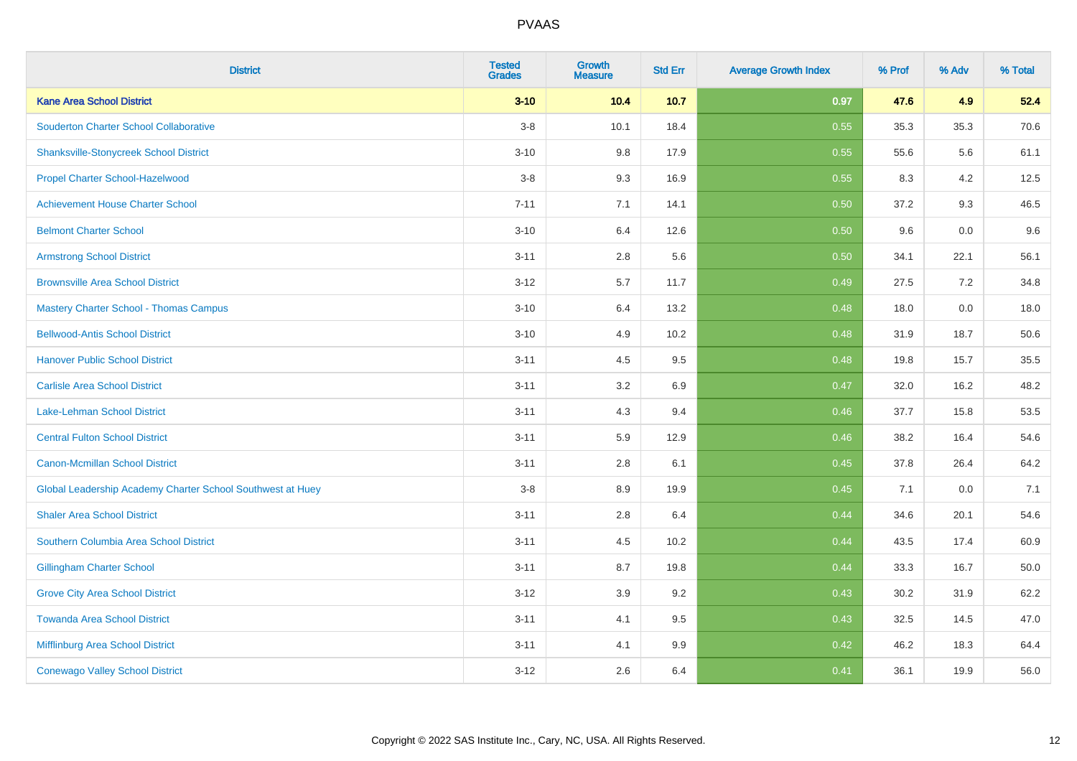| <b>District</b>                                            | <b>Tested</b><br><b>Grades</b> | <b>Growth</b><br><b>Measure</b> | <b>Std Err</b> | <b>Average Growth Index</b> | % Prof | % Adv | % Total |
|------------------------------------------------------------|--------------------------------|---------------------------------|----------------|-----------------------------|--------|-------|---------|
| <b>Kane Area School District</b>                           | $3 - 10$                       | 10.4                            | 10.7           | 0.97                        | 47.6   | 4.9   | 52.4    |
| <b>Souderton Charter School Collaborative</b>              | $3-8$                          | 10.1                            | 18.4           | 0.55                        | 35.3   | 35.3  | 70.6    |
| <b>Shanksville-Stonycreek School District</b>              | $3 - 10$                       | 9.8                             | 17.9           | 0.55                        | 55.6   | 5.6   | 61.1    |
| Propel Charter School-Hazelwood                            | $3-8$                          | 9.3                             | 16.9           | 0.55                        | 8.3    | 4.2   | 12.5    |
| <b>Achievement House Charter School</b>                    | $7 - 11$                       | 7.1                             | 14.1           | 0.50                        | 37.2   | 9.3   | 46.5    |
| <b>Belmont Charter School</b>                              | $3 - 10$                       | 6.4                             | 12.6           | 0.50                        | 9.6    | 0.0   | 9.6     |
| <b>Armstrong School District</b>                           | $3 - 11$                       | $2.8\,$                         | 5.6            | 0.50                        | 34.1   | 22.1  | 56.1    |
| <b>Brownsville Area School District</b>                    | $3 - 12$                       | 5.7                             | 11.7           | 0.49                        | 27.5   | 7.2   | 34.8    |
| <b>Mastery Charter School - Thomas Campus</b>              | $3 - 10$                       | 6.4                             | 13.2           | 0.48                        | 18.0   | 0.0   | 18.0    |
| <b>Bellwood-Antis School District</b>                      | $3 - 10$                       | 4.9                             | 10.2           | 0.48                        | 31.9   | 18.7  | 50.6    |
| <b>Hanover Public School District</b>                      | $3 - 11$                       | 4.5                             | 9.5            | 0.48                        | 19.8   | 15.7  | 35.5    |
| <b>Carlisle Area School District</b>                       | $3 - 11$                       | 3.2                             | 6.9            | 0.47                        | 32.0   | 16.2  | 48.2    |
| Lake-Lehman School District                                | $3 - 11$                       | 4.3                             | 9.4            | 0.46                        | 37.7   | 15.8  | 53.5    |
| <b>Central Fulton School District</b>                      | $3 - 11$                       | 5.9                             | 12.9           | 0.46                        | 38.2   | 16.4  | 54.6    |
| <b>Canon-Mcmillan School District</b>                      | $3 - 11$                       | 2.8                             | 6.1            | 0.45                        | 37.8   | 26.4  | 64.2    |
| Global Leadership Academy Charter School Southwest at Huey | $3-8$                          | 8.9                             | 19.9           | 0.45                        | 7.1    | 0.0   | 7.1     |
| <b>Shaler Area School District</b>                         | $3 - 11$                       | 2.8                             | 6.4            | 0.44                        | 34.6   | 20.1  | 54.6    |
| Southern Columbia Area School District                     | $3 - 11$                       | 4.5                             | 10.2           | 0.44                        | 43.5   | 17.4  | 60.9    |
| <b>Gillingham Charter School</b>                           | $3 - 11$                       | 8.7                             | 19.8           | 0.44                        | 33.3   | 16.7  | 50.0    |
| <b>Grove City Area School District</b>                     | $3 - 12$                       | 3.9                             | 9.2            | 0.43                        | 30.2   | 31.9  | 62.2    |
| <b>Towanda Area School District</b>                        | $3 - 11$                       | 4.1                             | 9.5            | 0.43                        | 32.5   | 14.5  | 47.0    |
| <b>Mifflinburg Area School District</b>                    | $3 - 11$                       | 4.1                             | 9.9            | 0.42                        | 46.2   | 18.3  | 64.4    |
| <b>Conewago Valley School District</b>                     | $3 - 12$                       | 2.6                             | 6.4            | 0.41                        | 36.1   | 19.9  | 56.0    |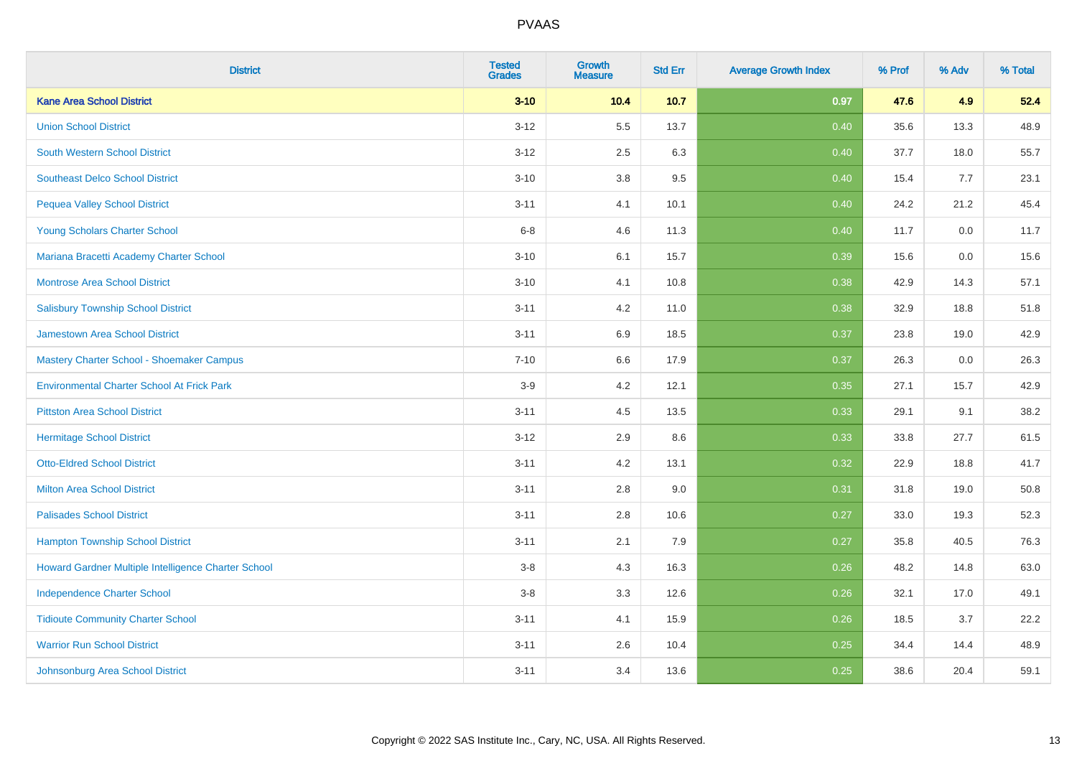| <b>District</b>                                     | <b>Tested</b><br><b>Grades</b> | Growth<br><b>Measure</b> | <b>Std Err</b> | <b>Average Growth Index</b> | % Prof | % Adv | % Total |
|-----------------------------------------------------|--------------------------------|--------------------------|----------------|-----------------------------|--------|-------|---------|
| <b>Kane Area School District</b>                    | $3 - 10$                       | 10.4                     | 10.7           | 0.97                        | 47.6   | 4.9   | 52.4    |
| <b>Union School District</b>                        | $3 - 12$                       | 5.5                      | 13.7           | 0.40                        | 35.6   | 13.3  | 48.9    |
| South Western School District                       | $3 - 12$                       | 2.5                      | 6.3            | 0.40                        | 37.7   | 18.0  | 55.7    |
| <b>Southeast Delco School District</b>              | $3 - 10$                       | 3.8                      | 9.5            | 0.40                        | 15.4   | 7.7   | 23.1    |
| <b>Pequea Valley School District</b>                | $3 - 11$                       | 4.1                      | 10.1           | 0.40                        | 24.2   | 21.2  | 45.4    |
| Young Scholars Charter School                       | $6 - 8$                        | 4.6                      | 11.3           | 0.40                        | 11.7   | 0.0   | 11.7    |
| Mariana Bracetti Academy Charter School             | $3 - 10$                       | 6.1                      | 15.7           | 0.39                        | 15.6   | 0.0   | 15.6    |
| <b>Montrose Area School District</b>                | $3 - 10$                       | 4.1                      | 10.8           | 0.38                        | 42.9   | 14.3  | 57.1    |
| <b>Salisbury Township School District</b>           | $3 - 11$                       | 4.2                      | 11.0           | 0.38                        | 32.9   | 18.8  | 51.8    |
| <b>Jamestown Area School District</b>               | $3 - 11$                       | 6.9                      | 18.5           | 0.37                        | 23.8   | 19.0  | 42.9    |
| Mastery Charter School - Shoemaker Campus           | $7 - 10$                       | 6.6                      | 17.9           | 0.37                        | 26.3   | 0.0   | 26.3    |
| <b>Environmental Charter School At Frick Park</b>   | $3-9$                          | 4.2                      | 12.1           | 0.35                        | 27.1   | 15.7  | 42.9    |
| <b>Pittston Area School District</b>                | $3 - 11$                       | 4.5                      | 13.5           | 0.33                        | 29.1   | 9.1   | 38.2    |
| <b>Hermitage School District</b>                    | $3 - 12$                       | 2.9                      | 8.6            | 0.33                        | 33.8   | 27.7  | 61.5    |
| <b>Otto-Eldred School District</b>                  | $3 - 11$                       | 4.2                      | 13.1           | 0.32                        | 22.9   | 18.8  | 41.7    |
| <b>Milton Area School District</b>                  | $3 - 11$                       | 2.8                      | 9.0            | 0.31                        | 31.8   | 19.0  | 50.8    |
| <b>Palisades School District</b>                    | $3 - 11$                       | 2.8                      | 10.6           | 0.27                        | 33.0   | 19.3  | 52.3    |
| <b>Hampton Township School District</b>             | $3 - 11$                       | 2.1                      | 7.9            | 0.27                        | 35.8   | 40.5  | 76.3    |
| Howard Gardner Multiple Intelligence Charter School | $3-8$                          | 4.3                      | 16.3           | 0.26                        | 48.2   | 14.8  | 63.0    |
| <b>Independence Charter School</b>                  | $3 - 8$                        | 3.3                      | 12.6           | 0.26                        | 32.1   | 17.0  | 49.1    |
| <b>Tidioute Community Charter School</b>            | $3 - 11$                       | 4.1                      | 15.9           | 0.26                        | 18.5   | 3.7   | 22.2    |
| <b>Warrior Run School District</b>                  | $3 - 11$                       | 2.6                      | 10.4           | 0.25                        | 34.4   | 14.4  | 48.9    |
| Johnsonburg Area School District                    | $3 - 11$                       | 3.4                      | 13.6           | 0.25                        | 38.6   | 20.4  | 59.1    |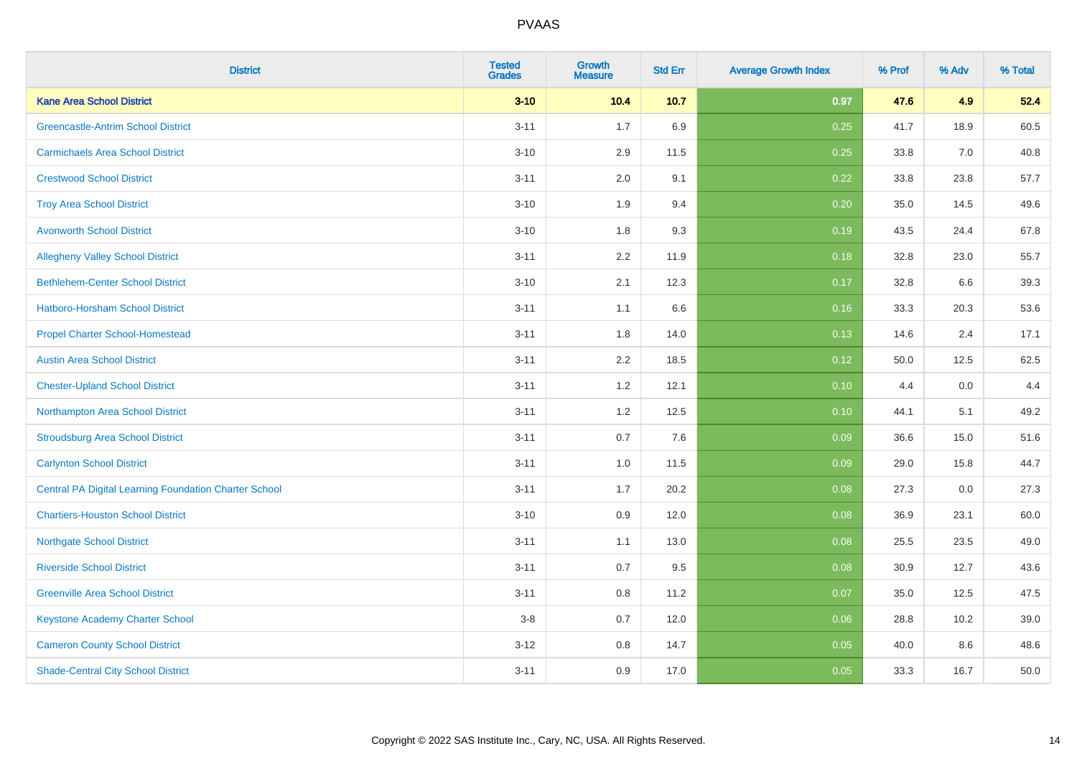| <b>District</b>                                              | <b>Tested</b><br><b>Grades</b> | Growth<br><b>Measure</b> | <b>Std Err</b> | <b>Average Growth Index</b> | % Prof | % Adv | % Total |
|--------------------------------------------------------------|--------------------------------|--------------------------|----------------|-----------------------------|--------|-------|---------|
| <b>Kane Area School District</b>                             | $3 - 10$                       | 10.4                     | 10.7           | 0.97                        | 47.6   | 4.9   | 52.4    |
| <b>Greencastle-Antrim School District</b>                    | $3 - 11$                       | 1.7                      | 6.9            | 0.25                        | 41.7   | 18.9  | 60.5    |
| <b>Carmichaels Area School District</b>                      | $3 - 10$                       | 2.9                      | 11.5           | 0.25                        | 33.8   | 7.0   | 40.8    |
| <b>Crestwood School District</b>                             | $3 - 11$                       | 2.0                      | 9.1            | 0.22                        | 33.8   | 23.8  | 57.7    |
| <b>Troy Area School District</b>                             | $3 - 10$                       | 1.9                      | 9.4            | 0.20                        | 35.0   | 14.5  | 49.6    |
| <b>Avonworth School District</b>                             | $3 - 10$                       | 1.8                      | 9.3            | 0.19                        | 43.5   | 24.4  | 67.8    |
| <b>Allegheny Valley School District</b>                      | $3 - 11$                       | 2.2                      | 11.9           | 0.18                        | 32.8   | 23.0  | 55.7    |
| <b>Bethlehem-Center School District</b>                      | $3 - 10$                       | 2.1                      | 12.3           | 0.17                        | 32.8   | 6.6   | 39.3    |
| <b>Hatboro-Horsham School District</b>                       | $3 - 11$                       | 1.1                      | 6.6            | 0.16                        | 33.3   | 20.3  | 53.6    |
| <b>Propel Charter School-Homestead</b>                       | $3 - 11$                       | 1.8                      | 14.0           | 0.13                        | 14.6   | 2.4   | 17.1    |
| <b>Austin Area School District</b>                           | $3 - 11$                       | 2.2                      | 18.5           | 0.12                        | 50.0   | 12.5  | 62.5    |
| <b>Chester-Upland School District</b>                        | $3 - 11$                       | 1.2                      | 12.1           | 0.10                        | 4.4    | 0.0   | 4.4     |
| Northampton Area School District                             | $3 - 11$                       | 1.2                      | 12.5           | 0.10                        | 44.1   | 5.1   | 49.2    |
| <b>Stroudsburg Area School District</b>                      | $3 - 11$                       | 0.7                      | 7.6            | 0.09                        | 36.6   | 15.0  | 51.6    |
| <b>Carlynton School District</b>                             | $3 - 11$                       | 1.0                      | 11.5           | 0.09                        | 29.0   | 15.8  | 44.7    |
| <b>Central PA Digital Learning Foundation Charter School</b> | $3 - 11$                       | 1.7                      | 20.2           | 0.08                        | 27.3   | 0.0   | 27.3    |
| <b>Chartiers-Houston School District</b>                     | $3 - 10$                       | 0.9                      | 12.0           | 0.08                        | 36.9   | 23.1  | 60.0    |
| <b>Northgate School District</b>                             | $3 - 11$                       | 1.1                      | 13.0           | 0.08                        | 25.5   | 23.5  | 49.0    |
| <b>Riverside School District</b>                             | $3 - 11$                       | 0.7                      | 9.5            | 0.08                        | 30.9   | 12.7  | 43.6    |
| <b>Greenville Area School District</b>                       | $3 - 11$                       | $0.8\,$                  | 11.2           | 0.07                        | 35.0   | 12.5  | 47.5    |
| Keystone Academy Charter School                              | $3-8$                          | 0.7                      | 12.0           | 0.06                        | 28.8   | 10.2  | 39.0    |
| <b>Cameron County School District</b>                        | $3 - 12$                       | 0.8                      | 14.7           | 0.05                        | 40.0   | 8.6   | 48.6    |
| <b>Shade-Central City School District</b>                    | $3 - 11$                       | 0.9                      | 17.0           | 0.05                        | 33.3   | 16.7  | 50.0    |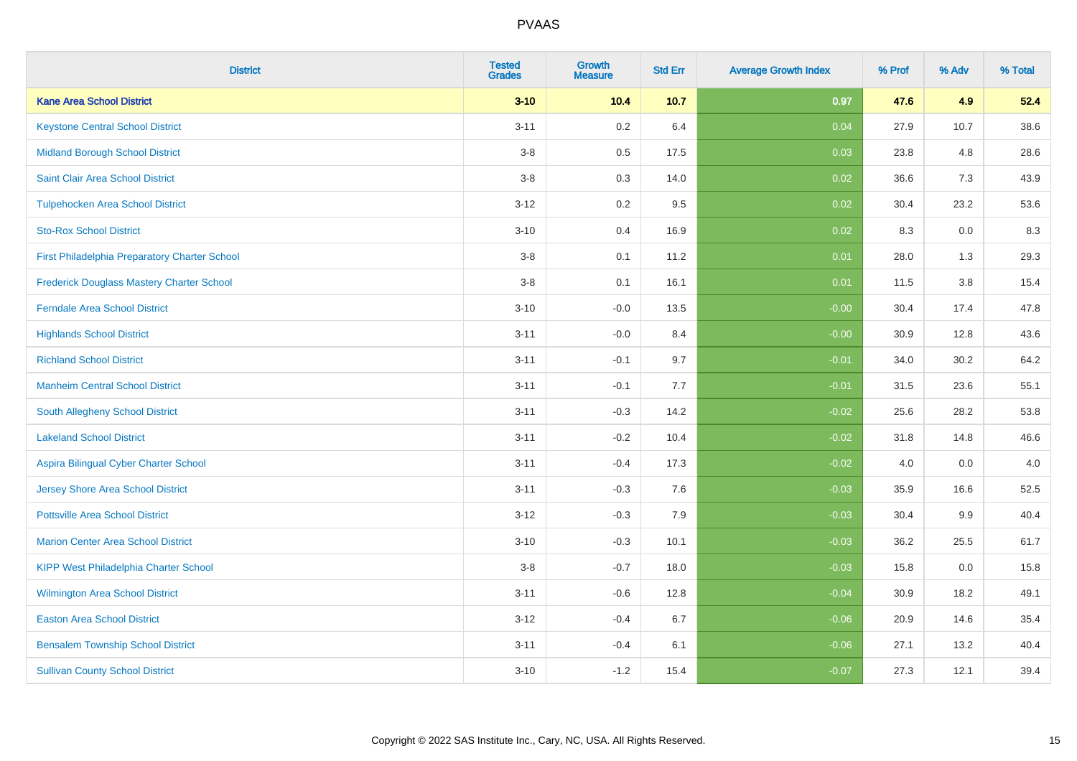| <b>District</b>                                  | <b>Tested</b><br><b>Grades</b> | Growth<br><b>Measure</b> | <b>Std Err</b> | <b>Average Growth Index</b> | % Prof | % Adv | % Total |
|--------------------------------------------------|--------------------------------|--------------------------|----------------|-----------------------------|--------|-------|---------|
| <b>Kane Area School District</b>                 | $3 - 10$                       | 10.4                     | 10.7           | 0.97                        | 47.6   | 4.9   | 52.4    |
| <b>Keystone Central School District</b>          | $3 - 11$                       | $0.2\,$                  | 6.4            | 0.04                        | 27.9   | 10.7  | 38.6    |
| <b>Midland Borough School District</b>           | $3 - 8$                        | $0.5\,$                  | 17.5           | 0.03                        | 23.8   | 4.8   | 28.6    |
| Saint Clair Area School District                 | $3 - 8$                        | 0.3                      | 14.0           | 0.02                        | 36.6   | 7.3   | 43.9    |
| <b>Tulpehocken Area School District</b>          | $3 - 12$                       | 0.2                      | 9.5            | 0.02                        | 30.4   | 23.2  | 53.6    |
| <b>Sto-Rox School District</b>                   | $3 - 10$                       | 0.4                      | 16.9           | 0.02                        | 8.3    | 0.0   | 8.3     |
| First Philadelphia Preparatory Charter School    | $3-8$                          | 0.1                      | 11.2           | 0.01                        | 28.0   | 1.3   | 29.3    |
| <b>Frederick Douglass Mastery Charter School</b> | $3 - 8$                        | 0.1                      | 16.1           | 0.01                        | 11.5   | 3.8   | 15.4    |
| <b>Ferndale Area School District</b>             | $3 - 10$                       | $-0.0$                   | 13.5           | $-0.00$                     | 30.4   | 17.4  | 47.8    |
| <b>Highlands School District</b>                 | $3 - 11$                       | $-0.0$                   | 8.4            | $-0.00$                     | 30.9   | 12.8  | 43.6    |
| <b>Richland School District</b>                  | $3 - 11$                       | $-0.1$                   | 9.7            | $-0.01$                     | 34.0   | 30.2  | 64.2    |
| <b>Manheim Central School District</b>           | $3 - 11$                       | $-0.1$                   | 7.7            | $-0.01$                     | 31.5   | 23.6  | 55.1    |
| South Allegheny School District                  | $3 - 11$                       | $-0.3$                   | 14.2           | $-0.02$                     | 25.6   | 28.2  | 53.8    |
| <b>Lakeland School District</b>                  | $3 - 11$                       | $-0.2$                   | 10.4           | $-0.02$                     | 31.8   | 14.8  | 46.6    |
| Aspira Bilingual Cyber Charter School            | $3 - 11$                       | $-0.4$                   | 17.3           | $-0.02$                     | 4.0    | 0.0   | 4.0     |
| Jersey Shore Area School District                | $3 - 11$                       | $-0.3$                   | 7.6            | $-0.03$                     | 35.9   | 16.6  | 52.5    |
| <b>Pottsville Area School District</b>           | $3 - 12$                       | $-0.3$                   | 7.9            | $-0.03$                     | 30.4   | 9.9   | 40.4    |
| <b>Marion Center Area School District</b>        | $3 - 10$                       | $-0.3$                   | 10.1           | $-0.03$                     | 36.2   | 25.5  | 61.7    |
| <b>KIPP West Philadelphia Charter School</b>     | $3 - 8$                        | $-0.7$                   | 18.0           | $-0.03$                     | 15.8   | 0.0   | 15.8    |
| Wilmington Area School District                  | $3 - 11$                       | $-0.6$                   | 12.8           | $-0.04$                     | 30.9   | 18.2  | 49.1    |
| <b>Easton Area School District</b>               | $3 - 12$                       | $-0.4$                   | 6.7            | $-0.06$                     | 20.9   | 14.6  | 35.4    |
| <b>Bensalem Township School District</b>         | $3 - 11$                       | $-0.4$                   | 6.1            | $-0.06$                     | 27.1   | 13.2  | 40.4    |
| <b>Sullivan County School District</b>           | $3 - 10$                       | $-1.2$                   | 15.4           | $-0.07$                     | 27.3   | 12.1  | 39.4    |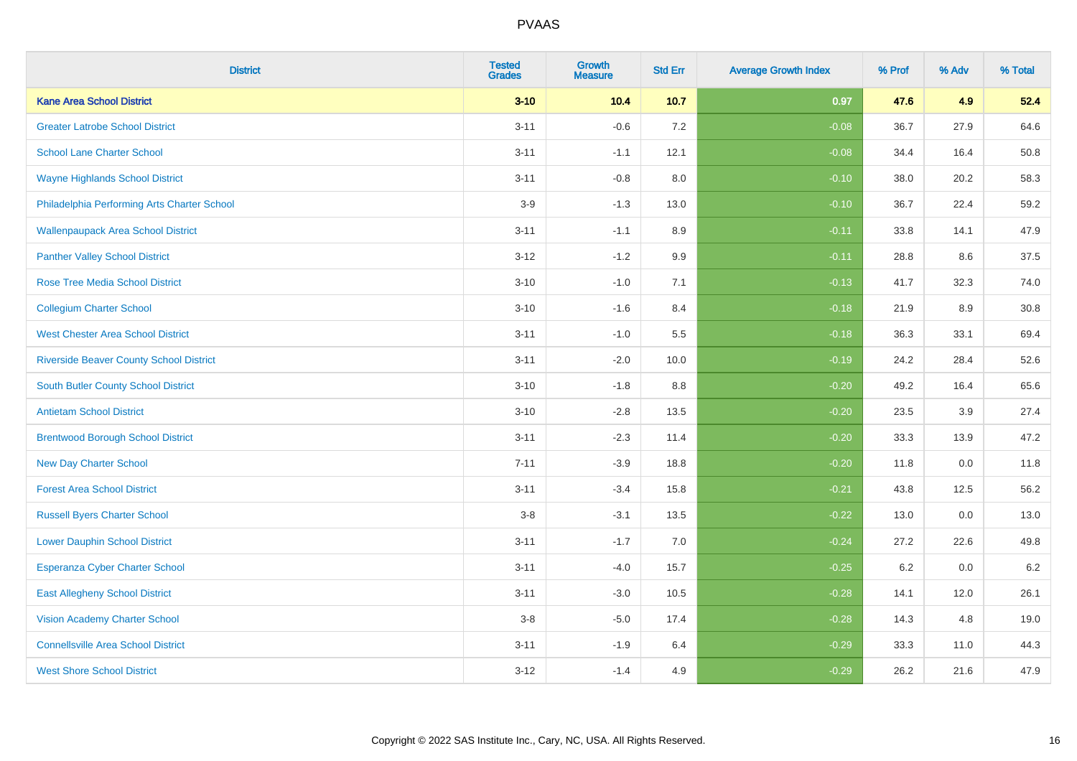| <b>District</b>                                | <b>Tested</b><br><b>Grades</b> | Growth<br><b>Measure</b> | <b>Std Err</b> | <b>Average Growth Index</b> | % Prof | % Adv | % Total |
|------------------------------------------------|--------------------------------|--------------------------|----------------|-----------------------------|--------|-------|---------|
| <b>Kane Area School District</b>               | $3 - 10$                       | 10.4                     | 10.7           | 0.97                        | 47.6   | 4.9   | 52.4    |
| <b>Greater Latrobe School District</b>         | $3 - 11$                       | $-0.6$                   | 7.2            | $-0.08$                     | 36.7   | 27.9  | 64.6    |
| <b>School Lane Charter School</b>              | $3 - 11$                       | $-1.1$                   | 12.1           | $-0.08$                     | 34.4   | 16.4  | 50.8    |
| <b>Wayne Highlands School District</b>         | $3 - 11$                       | $-0.8$                   | 8.0            | $-0.10$                     | 38.0   | 20.2  | 58.3    |
| Philadelphia Performing Arts Charter School    | $3-9$                          | $-1.3$                   | 13.0           | $-0.10$                     | 36.7   | 22.4  | 59.2    |
| <b>Wallenpaupack Area School District</b>      | $3 - 11$                       | $-1.1$                   | 8.9            | $-0.11$                     | 33.8   | 14.1  | 47.9    |
| <b>Panther Valley School District</b>          | $3 - 12$                       | $-1.2$                   | 9.9            | $-0.11$                     | 28.8   | 8.6   | 37.5    |
| <b>Rose Tree Media School District</b>         | $3 - 10$                       | $-1.0$                   | 7.1            | $-0.13$                     | 41.7   | 32.3  | 74.0    |
| <b>Collegium Charter School</b>                | $3 - 10$                       | $-1.6$                   | 8.4            | $-0.18$                     | 21.9   | 8.9   | 30.8    |
| <b>West Chester Area School District</b>       | $3 - 11$                       | $-1.0$                   | 5.5            | $-0.18$                     | 36.3   | 33.1  | 69.4    |
| <b>Riverside Beaver County School District</b> | $3 - 11$                       | $-2.0$                   | 10.0           | $-0.19$                     | 24.2   | 28.4  | 52.6    |
| South Butler County School District            | $3 - 10$                       | $-1.8$                   | 8.8            | $-0.20$                     | 49.2   | 16.4  | 65.6    |
| <b>Antietam School District</b>                | $3 - 10$                       | $-2.8$                   | 13.5           | $-0.20$                     | 23.5   | 3.9   | 27.4    |
| <b>Brentwood Borough School District</b>       | $3 - 11$                       | $-2.3$                   | 11.4           | $-0.20$                     | 33.3   | 13.9  | 47.2    |
| <b>New Day Charter School</b>                  | $7 - 11$                       | $-3.9$                   | 18.8           | $-0.20$                     | 11.8   | 0.0   | 11.8    |
| <b>Forest Area School District</b>             | $3 - 11$                       | $-3.4$                   | 15.8           | $-0.21$                     | 43.8   | 12.5  | 56.2    |
| <b>Russell Byers Charter School</b>            | $3-8$                          | $-3.1$                   | 13.5           | $-0.22$                     | 13.0   | 0.0   | 13.0    |
| <b>Lower Dauphin School District</b>           | $3 - 11$                       | $-1.7$                   | 7.0            | $-0.24$                     | 27.2   | 22.6  | 49.8    |
| <b>Esperanza Cyber Charter School</b>          | $3 - 11$                       | $-4.0$                   | 15.7           | $-0.25$                     | 6.2    | 0.0   | $6.2\,$ |
| <b>East Allegheny School District</b>          | $3 - 11$                       | $-3.0$                   | 10.5           | $-0.28$                     | 14.1   | 12.0  | 26.1    |
| <b>Vision Academy Charter School</b>           | $3-8$                          | $-5.0$                   | 17.4           | $-0.28$                     | 14.3   | 4.8   | 19.0    |
| <b>Connellsville Area School District</b>      | $3 - 11$                       | $-1.9$                   | 6.4            | $-0.29$                     | 33.3   | 11.0  | 44.3    |
| <b>West Shore School District</b>              | $3 - 12$                       | $-1.4$                   | 4.9            | $-0.29$                     | 26.2   | 21.6  | 47.9    |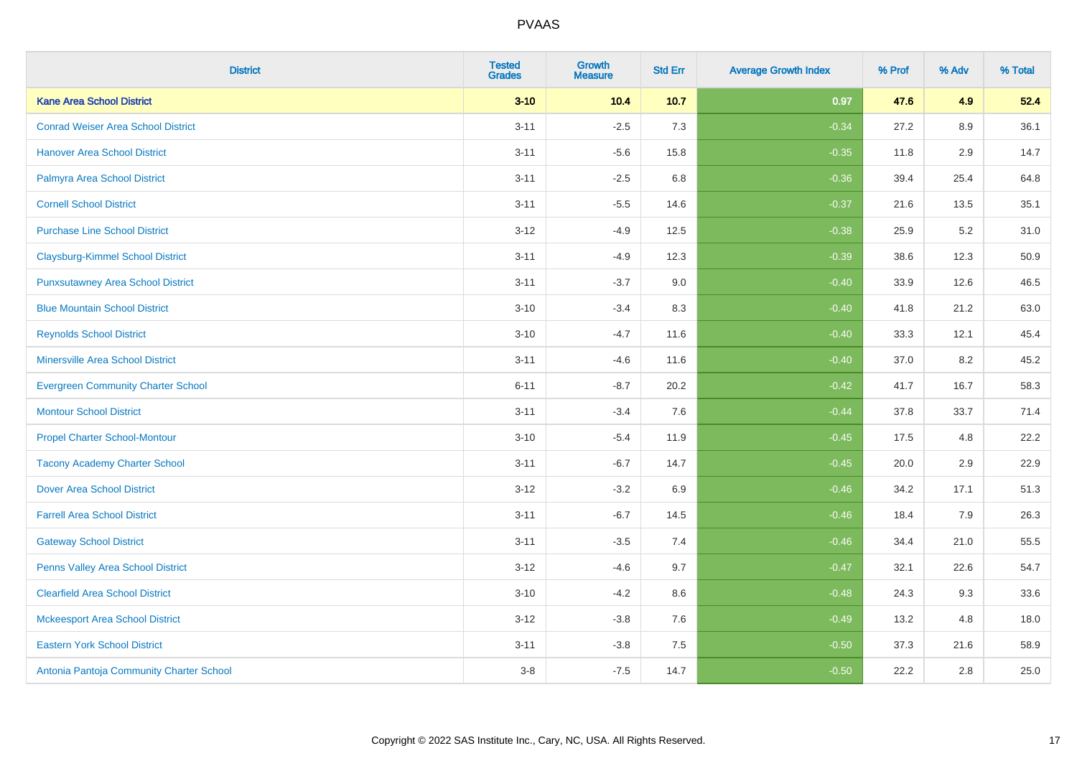| <b>District</b>                           | <b>Tested</b><br><b>Grades</b> | Growth<br><b>Measure</b> | <b>Std Err</b> | <b>Average Growth Index</b> | % Prof | % Adv | % Total |
|-------------------------------------------|--------------------------------|--------------------------|----------------|-----------------------------|--------|-------|---------|
| <b>Kane Area School District</b>          | $3 - 10$                       | 10.4                     | 10.7           | 0.97                        | 47.6   | 4.9   | 52.4    |
| <b>Conrad Weiser Area School District</b> | $3 - 11$                       | $-2.5$                   | 7.3            | $-0.34$                     | 27.2   | 8.9   | 36.1    |
| <b>Hanover Area School District</b>       | $3 - 11$                       | $-5.6$                   | 15.8           | $-0.35$                     | 11.8   | 2.9   | 14.7    |
| Palmyra Area School District              | $3 - 11$                       | $-2.5$                   | 6.8            | $-0.36$                     | 39.4   | 25.4  | 64.8    |
| <b>Cornell School District</b>            | $3 - 11$                       | $-5.5$                   | 14.6           | $-0.37$                     | 21.6   | 13.5  | 35.1    |
| <b>Purchase Line School District</b>      | $3 - 12$                       | $-4.9$                   | 12.5           | $-0.38$                     | 25.9   | 5.2   | 31.0    |
| <b>Claysburg-Kimmel School District</b>   | $3 - 11$                       | $-4.9$                   | 12.3           | $-0.39$                     | 38.6   | 12.3  | 50.9    |
| <b>Punxsutawney Area School District</b>  | $3 - 11$                       | $-3.7$                   | 9.0            | $-0.40$                     | 33.9   | 12.6  | 46.5    |
| <b>Blue Mountain School District</b>      | $3 - 10$                       | $-3.4$                   | 8.3            | $-0.40$                     | 41.8   | 21.2  | 63.0    |
| <b>Reynolds School District</b>           | $3 - 10$                       | $-4.7$                   | 11.6           | $-0.40$                     | 33.3   | 12.1  | 45.4    |
| <b>Minersville Area School District</b>   | $3 - 11$                       | $-4.6$                   | 11.6           | $-0.40$                     | 37.0   | 8.2   | 45.2    |
| <b>Evergreen Community Charter School</b> | $6 - 11$                       | $-8.7$                   | 20.2           | $-0.42$                     | 41.7   | 16.7  | 58.3    |
| <b>Montour School District</b>            | $3 - 11$                       | $-3.4$                   | 7.6            | $-0.44$                     | 37.8   | 33.7  | 71.4    |
| <b>Propel Charter School-Montour</b>      | $3 - 10$                       | $-5.4$                   | 11.9           | $-0.45$                     | 17.5   | 4.8   | 22.2    |
| <b>Tacony Academy Charter School</b>      | $3 - 11$                       | $-6.7$                   | 14.7           | $-0.45$                     | 20.0   | 2.9   | 22.9    |
| <b>Dover Area School District</b>         | $3 - 12$                       | $-3.2$                   | 6.9            | $-0.46$                     | 34.2   | 17.1  | 51.3    |
| <b>Farrell Area School District</b>       | $3 - 11$                       | $-6.7$                   | 14.5           | $-0.46$                     | 18.4   | 7.9   | 26.3    |
| <b>Gateway School District</b>            | $3 - 11$                       | $-3.5$                   | 7.4            | $-0.46$                     | 34.4   | 21.0  | 55.5    |
| Penns Valley Area School District         | $3 - 12$                       | $-4.6$                   | 9.7            | $-0.47$                     | 32.1   | 22.6  | 54.7    |
| <b>Clearfield Area School District</b>    | $3 - 10$                       | $-4.2$                   | 8.6            | $-0.48$                     | 24.3   | 9.3   | 33.6    |
| <b>Mckeesport Area School District</b>    | $3 - 12$                       | $-3.8$                   | 7.6            | $-0.49$                     | 13.2   | 4.8   | 18.0    |
| <b>Eastern York School District</b>       | $3 - 11$                       | $-3.8$                   | 7.5            | $-0.50$                     | 37.3   | 21.6  | 58.9    |
| Antonia Pantoja Community Charter School  | $3 - 8$                        | $-7.5$                   | 14.7           | $-0.50$                     | 22.2   | 2.8   | 25.0    |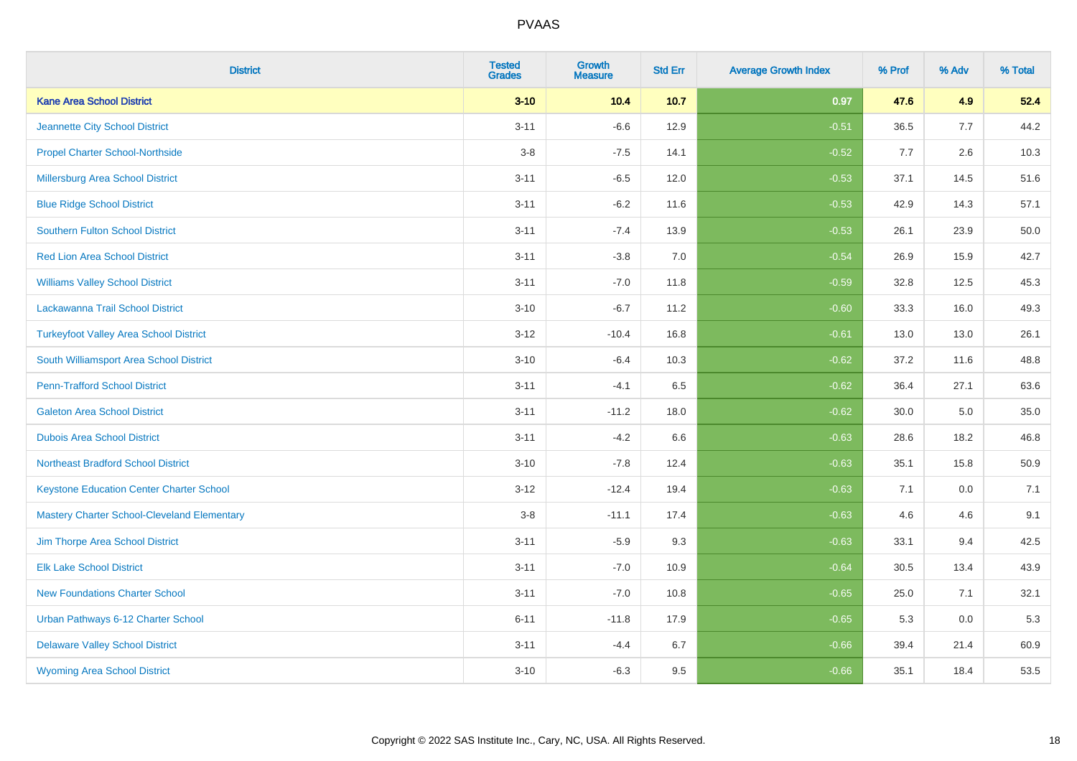| <b>District</b>                                    | <b>Tested</b><br><b>Grades</b> | <b>Growth</b><br><b>Measure</b> | <b>Std Err</b> | <b>Average Growth Index</b> | % Prof | % Adv | % Total |
|----------------------------------------------------|--------------------------------|---------------------------------|----------------|-----------------------------|--------|-------|---------|
| <b>Kane Area School District</b>                   | $3 - 10$                       | 10.4                            | 10.7           | 0.97                        | 47.6   | 4.9   | 52.4    |
| Jeannette City School District                     | $3 - 11$                       | $-6.6$                          | 12.9           | $-0.51$                     | 36.5   | 7.7   | 44.2    |
| <b>Propel Charter School-Northside</b>             | $3-8$                          | $-7.5$                          | 14.1           | $-0.52$                     | 7.7    | 2.6   | 10.3    |
| Millersburg Area School District                   | $3 - 11$                       | $-6.5$                          | 12.0           | $-0.53$                     | 37.1   | 14.5  | 51.6    |
| <b>Blue Ridge School District</b>                  | $3 - 11$                       | $-6.2$                          | 11.6           | $-0.53$                     | 42.9   | 14.3  | 57.1    |
| <b>Southern Fulton School District</b>             | $3 - 11$                       | $-7.4$                          | 13.9           | $-0.53$                     | 26.1   | 23.9  | 50.0    |
| <b>Red Lion Area School District</b>               | $3 - 11$                       | $-3.8$                          | 7.0            | $-0.54$                     | 26.9   | 15.9  | 42.7    |
| <b>Williams Valley School District</b>             | $3 - 11$                       | $-7.0$                          | 11.8           | $-0.59$                     | 32.8   | 12.5  | 45.3    |
| Lackawanna Trail School District                   | $3 - 10$                       | $-6.7$                          | 11.2           | $-0.60$                     | 33.3   | 16.0  | 49.3    |
| <b>Turkeyfoot Valley Area School District</b>      | $3-12$                         | $-10.4$                         | 16.8           | $-0.61$                     | 13.0   | 13.0  | 26.1    |
| South Williamsport Area School District            | $3 - 10$                       | $-6.4$                          | 10.3           | $-0.62$                     | 37.2   | 11.6  | 48.8    |
| <b>Penn-Trafford School District</b>               | $3 - 11$                       | $-4.1$                          | 6.5            | $-0.62$                     | 36.4   | 27.1  | 63.6    |
| <b>Galeton Area School District</b>                | $3 - 11$                       | $-11.2$                         | 18.0           | $-0.62$                     | 30.0   | 5.0   | 35.0    |
| <b>Dubois Area School District</b>                 | $3 - 11$                       | $-4.2$                          | 6.6            | $-0.63$                     | 28.6   | 18.2  | 46.8    |
| <b>Northeast Bradford School District</b>          | $3 - 10$                       | $-7.8$                          | 12.4           | $-0.63$                     | 35.1   | 15.8  | 50.9    |
| <b>Keystone Education Center Charter School</b>    | $3 - 12$                       | $-12.4$                         | 19.4           | $-0.63$                     | 7.1    | 0.0   | 7.1     |
| <b>Mastery Charter School-Cleveland Elementary</b> | $3-8$                          | $-11.1$                         | 17.4           | $-0.63$                     | 4.6    | 4.6   | 9.1     |
| Jim Thorpe Area School District                    | $3 - 11$                       | $-5.9$                          | 9.3            | $-0.63$                     | 33.1   | 9.4   | 42.5    |
| <b>Elk Lake School District</b>                    | $3 - 11$                       | $-7.0$                          | 10.9           | $-0.64$                     | 30.5   | 13.4  | 43.9    |
| <b>New Foundations Charter School</b>              | $3 - 11$                       | $-7.0$                          | 10.8           | $-0.65$                     | 25.0   | 7.1   | 32.1    |
| Urban Pathways 6-12 Charter School                 | $6 - 11$                       | $-11.8$                         | 17.9           | $-0.65$                     | 5.3    | 0.0   | 5.3     |
| <b>Delaware Valley School District</b>             | $3 - 11$                       | $-4.4$                          | 6.7            | $-0.66$                     | 39.4   | 21.4  | 60.9    |
| <b>Wyoming Area School District</b>                | $3 - 10$                       | $-6.3$                          | 9.5            | $-0.66$                     | 35.1   | 18.4  | 53.5    |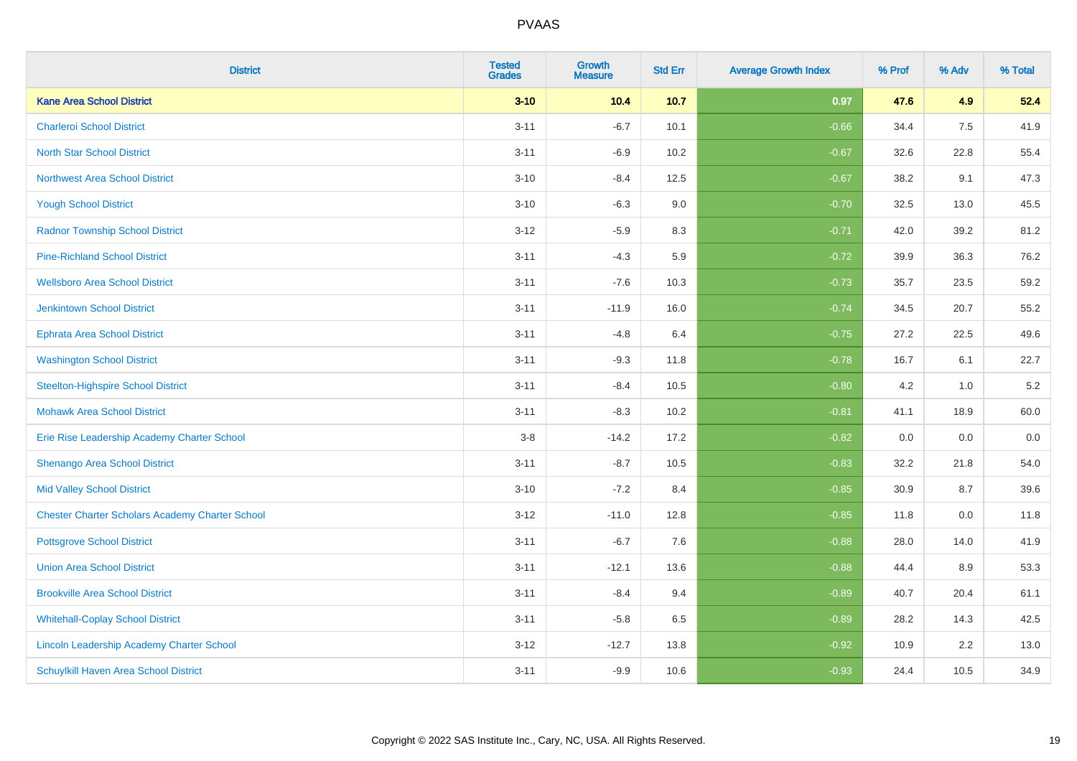| <b>District</b>                                        | <b>Tested</b><br><b>Grades</b> | <b>Growth</b><br><b>Measure</b> | <b>Std Err</b> | <b>Average Growth Index</b> | % Prof | % Adv | % Total |
|--------------------------------------------------------|--------------------------------|---------------------------------|----------------|-----------------------------|--------|-------|---------|
| <b>Kane Area School District</b>                       | $3 - 10$                       | 10.4                            | $10.7$         | 0.97                        | 47.6   | 4.9   | 52.4    |
| <b>Charleroi School District</b>                       | $3 - 11$                       | $-6.7$                          | 10.1           | $-0.66$                     | 34.4   | 7.5   | 41.9    |
| <b>North Star School District</b>                      | $3 - 11$                       | $-6.9$                          | 10.2           | $-0.67$                     | 32.6   | 22.8  | 55.4    |
| <b>Northwest Area School District</b>                  | $3 - 10$                       | $-8.4$                          | 12.5           | $-0.67$                     | 38.2   | 9.1   | 47.3    |
| <b>Yough School District</b>                           | $3 - 10$                       | $-6.3$                          | 9.0            | $-0.70$                     | 32.5   | 13.0  | 45.5    |
| <b>Radnor Township School District</b>                 | $3 - 12$                       | $-5.9$                          | 8.3            | $-0.71$                     | 42.0   | 39.2  | 81.2    |
| <b>Pine-Richland School District</b>                   | $3 - 11$                       | $-4.3$                          | 5.9            | $-0.72$                     | 39.9   | 36.3  | 76.2    |
| <b>Wellsboro Area School District</b>                  | $3 - 11$                       | $-7.6$                          | 10.3           | $-0.73$                     | 35.7   | 23.5  | 59.2    |
| <b>Jenkintown School District</b>                      | $3 - 11$                       | $-11.9$                         | 16.0           | $-0.74$                     | 34.5   | 20.7  | 55.2    |
| <b>Ephrata Area School District</b>                    | $3 - 11$                       | $-4.8$                          | 6.4            | $-0.75$                     | 27.2   | 22.5  | 49.6    |
| <b>Washington School District</b>                      | $3 - 11$                       | $-9.3$                          | 11.8           | $-0.78$                     | 16.7   | 6.1   | 22.7    |
| <b>Steelton-Highspire School District</b>              | $3 - 11$                       | $-8.4$                          | 10.5           | $-0.80$                     | 4.2    | 1.0   | $5.2\,$ |
| <b>Mohawk Area School District</b>                     | $3 - 11$                       | $-8.3$                          | 10.2           | $-0.81$                     | 41.1   | 18.9  | 60.0    |
| Erie Rise Leadership Academy Charter School            | $3-8$                          | $-14.2$                         | 17.2           | $-0.82$                     | 0.0    | 0.0   | 0.0     |
| Shenango Area School District                          | $3 - 11$                       | $-8.7$                          | 10.5           | $-0.83$                     | 32.2   | 21.8  | 54.0    |
| <b>Mid Valley School District</b>                      | $3 - 10$                       | $-7.2$                          | 8.4            | $-0.85$                     | 30.9   | 8.7   | 39.6    |
| <b>Chester Charter Scholars Academy Charter School</b> | $3 - 12$                       | $-11.0$                         | 12.8           | $-0.85$                     | 11.8   | 0.0   | 11.8    |
| <b>Pottsgrove School District</b>                      | $3 - 11$                       | $-6.7$                          | 7.6            | $-0.88$                     | 28.0   | 14.0  | 41.9    |
| <b>Union Area School District</b>                      | $3 - 11$                       | $-12.1$                         | 13.6           | $-0.88$                     | 44.4   | 8.9   | 53.3    |
| <b>Brookville Area School District</b>                 | $3 - 11$                       | $-8.4$                          | 9.4            | $-0.89$                     | 40.7   | 20.4  | 61.1    |
| <b>Whitehall-Coplay School District</b>                | $3 - 11$                       | $-5.8$                          | 6.5            | $-0.89$                     | 28.2   | 14.3  | 42.5    |
| Lincoln Leadership Academy Charter School              | $3 - 12$                       | $-12.7$                         | 13.8           | $-0.92$                     | 10.9   | 2.2   | 13.0    |
| Schuylkill Haven Area School District                  | $3 - 11$                       | $-9.9$                          | 10.6           | $-0.93$                     | 24.4   | 10.5  | 34.9    |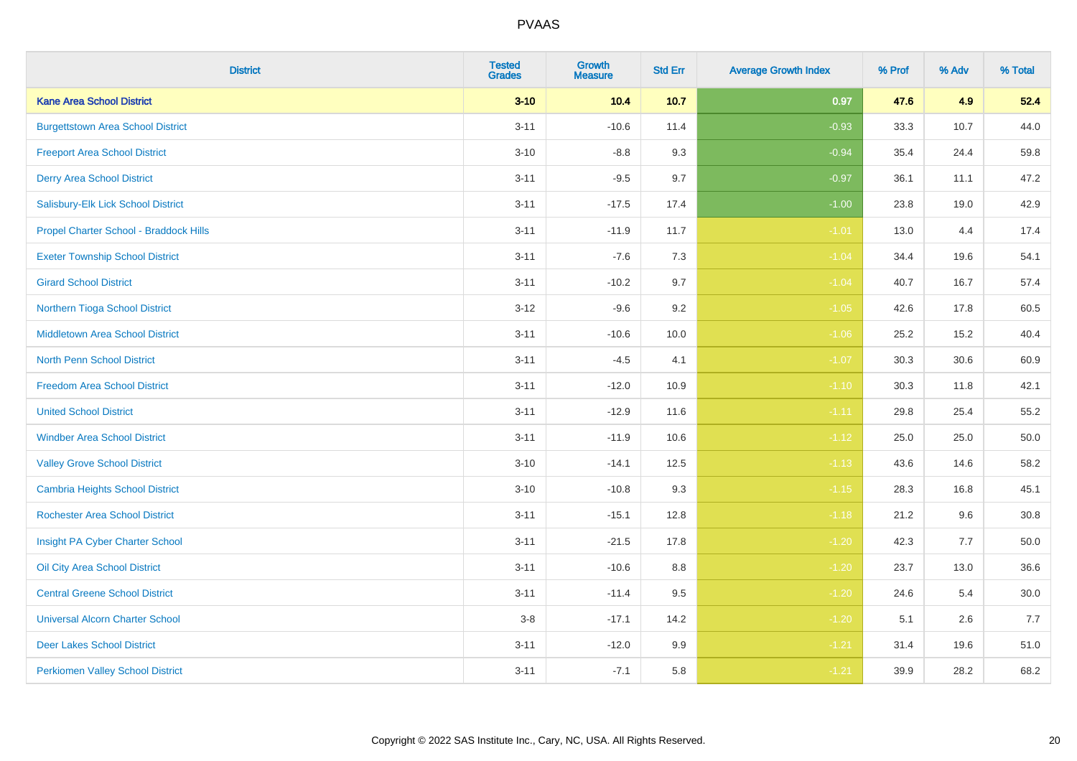| <b>District</b>                          | <b>Tested</b><br><b>Grades</b> | Growth<br><b>Measure</b> | <b>Std Err</b> | <b>Average Growth Index</b> | % Prof | % Adv | % Total |
|------------------------------------------|--------------------------------|--------------------------|----------------|-----------------------------|--------|-------|---------|
| <b>Kane Area School District</b>         | $3 - 10$                       | 10.4                     | 10.7           | 0.97                        | 47.6   | 4.9   | 52.4    |
| <b>Burgettstown Area School District</b> | $3 - 11$                       | $-10.6$                  | 11.4           | $-0.93$                     | 33.3   | 10.7  | 44.0    |
| <b>Freeport Area School District</b>     | $3 - 10$                       | $-8.8$                   | 9.3            | $-0.94$                     | 35.4   | 24.4  | 59.8    |
| <b>Derry Area School District</b>        | $3 - 11$                       | $-9.5$                   | 9.7            | $-0.97$                     | 36.1   | 11.1  | 47.2    |
| Salisbury-Elk Lick School District       | $3 - 11$                       | $-17.5$                  | 17.4           | $-1.00$                     | 23.8   | 19.0  | 42.9    |
| Propel Charter School - Braddock Hills   | $3 - 11$                       | $-11.9$                  | 11.7           | $-1.01$                     | 13.0   | 4.4   | 17.4    |
| <b>Exeter Township School District</b>   | $3 - 11$                       | $-7.6$                   | 7.3            | $-1.04$                     | 34.4   | 19.6  | 54.1    |
| <b>Girard School District</b>            | $3 - 11$                       | $-10.2$                  | 9.7            | $-1.04$                     | 40.7   | 16.7  | 57.4    |
| Northern Tioga School District           | $3 - 12$                       | $-9.6$                   | 9.2            | $-1.05$                     | 42.6   | 17.8  | 60.5    |
| <b>Middletown Area School District</b>   | $3 - 11$                       | $-10.6$                  | 10.0           | $-1.06$                     | 25.2   | 15.2  | 40.4    |
| <b>North Penn School District</b>        | $3 - 11$                       | $-4.5$                   | 4.1            | $-1.07$                     | 30.3   | 30.6  | 60.9    |
| <b>Freedom Area School District</b>      | $3 - 11$                       | $-12.0$                  | 10.9           | $-1.10$                     | 30.3   | 11.8  | 42.1    |
| <b>United School District</b>            | $3 - 11$                       | $-12.9$                  | 11.6           | $-1.11$                     | 29.8   | 25.4  | 55.2    |
| <b>Windber Area School District</b>      | $3 - 11$                       | $-11.9$                  | 10.6           | $-1.12$                     | 25.0   | 25.0  | 50.0    |
| <b>Valley Grove School District</b>      | $3 - 10$                       | $-14.1$                  | 12.5           | $-1.13$                     | 43.6   | 14.6  | 58.2    |
| <b>Cambria Heights School District</b>   | $3 - 10$                       | $-10.8$                  | 9.3            | $-1.15$                     | 28.3   | 16.8  | 45.1    |
| <b>Rochester Area School District</b>    | $3 - 11$                       | $-15.1$                  | 12.8           | $-1.18$                     | 21.2   | 9.6   | 30.8    |
| Insight PA Cyber Charter School          | $3 - 11$                       | $-21.5$                  | 17.8           | $-1.20$                     | 42.3   | 7.7   | 50.0    |
| Oil City Area School District            | $3 - 11$                       | $-10.6$                  | 8.8            | $-1.20$                     | 23.7   | 13.0  | 36.6    |
| <b>Central Greene School District</b>    | $3 - 11$                       | $-11.4$                  | 9.5            | $-1.20$                     | 24.6   | 5.4   | 30.0    |
| <b>Universal Alcorn Charter School</b>   | $3 - 8$                        | $-17.1$                  | 14.2           | $-1.20$                     | 5.1    | 2.6   | 7.7     |
| <b>Deer Lakes School District</b>        | $3 - 11$                       | $-12.0$                  | 9.9            | $-1.21$                     | 31.4   | 19.6  | 51.0    |
| <b>Perkiomen Valley School District</b>  | $3 - 11$                       | $-7.1$                   | 5.8            | $-1.21$                     | 39.9   | 28.2  | 68.2    |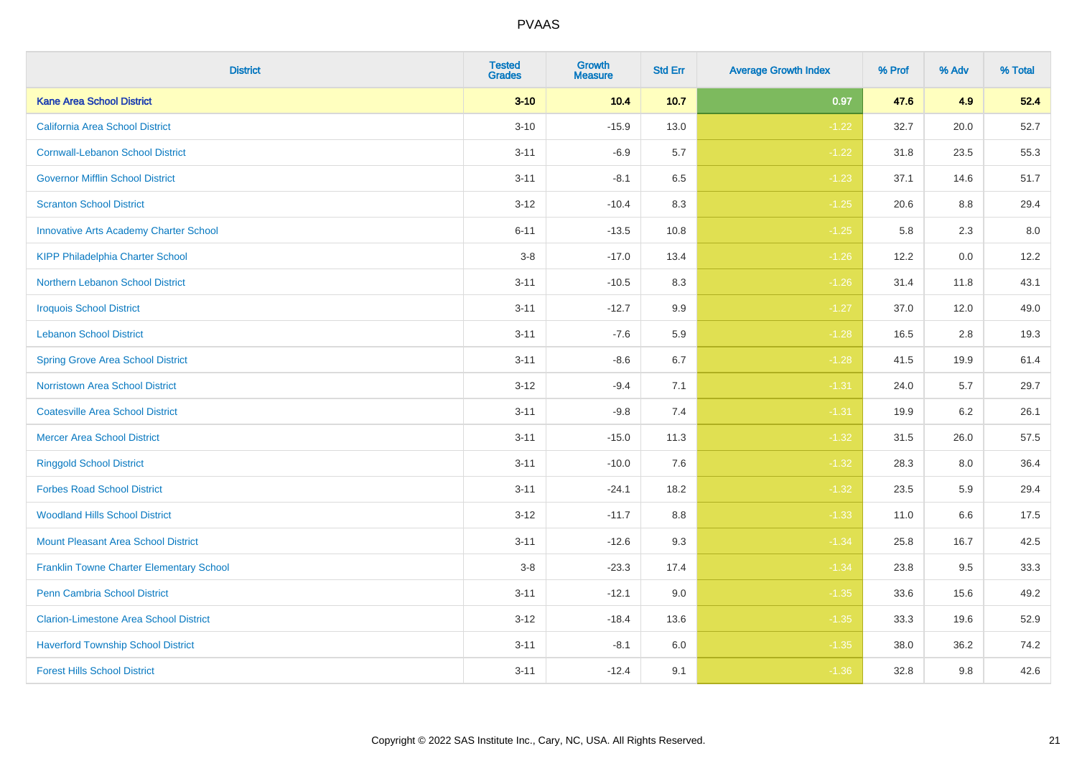| <b>District</b>                               | <b>Tested</b><br><b>Grades</b> | Growth<br><b>Measure</b> | <b>Std Err</b> | <b>Average Growth Index</b> | % Prof | % Adv | % Total |
|-----------------------------------------------|--------------------------------|--------------------------|----------------|-----------------------------|--------|-------|---------|
| <b>Kane Area School District</b>              | $3 - 10$                       | 10.4                     | 10.7           | 0.97                        | 47.6   | 4.9   | 52.4    |
| <b>California Area School District</b>        | $3 - 10$                       | $-15.9$                  | 13.0           | $-1.22$                     | 32.7   | 20.0  | 52.7    |
| <b>Cornwall-Lebanon School District</b>       | $3 - 11$                       | $-6.9$                   | 5.7            | $-1.22$                     | 31.8   | 23.5  | 55.3    |
| <b>Governor Mifflin School District</b>       | $3 - 11$                       | $-8.1$                   | 6.5            | $-1.23$                     | 37.1   | 14.6  | 51.7    |
| <b>Scranton School District</b>               | $3 - 12$                       | $-10.4$                  | 8.3            | $-1.25$                     | 20.6   | 8.8   | 29.4    |
| <b>Innovative Arts Academy Charter School</b> | $6 - 11$                       | $-13.5$                  | 10.8           | $-1.25$                     | 5.8    | 2.3   | $8.0\,$ |
| <b>KIPP Philadelphia Charter School</b>       | $3-8$                          | $-17.0$                  | 13.4           | $-1.26$                     | 12.2   | 0.0   | 12.2    |
| Northern Lebanon School District              | $3 - 11$                       | $-10.5$                  | 8.3            | $-1.26$                     | 31.4   | 11.8  | 43.1    |
| <b>Iroquois School District</b>               | $3 - 11$                       | $-12.7$                  | 9.9            | $-1.27$                     | 37.0   | 12.0  | 49.0    |
| <b>Lebanon School District</b>                | $3 - 11$                       | $-7.6$                   | 5.9            | $-1.28$                     | 16.5   | 2.8   | 19.3    |
| <b>Spring Grove Area School District</b>      | $3 - 11$                       | $-8.6$                   | 6.7            | $-1.28$                     | 41.5   | 19.9  | 61.4    |
| <b>Norristown Area School District</b>        | $3 - 12$                       | $-9.4$                   | 7.1            | $-1.31$                     | 24.0   | 5.7   | 29.7    |
| <b>Coatesville Area School District</b>       | $3 - 11$                       | $-9.8$                   | 7.4            | $-1.31$                     | 19.9   | 6.2   | 26.1    |
| <b>Mercer Area School District</b>            | $3 - 11$                       | $-15.0$                  | 11.3           | $-1.32$                     | 31.5   | 26.0  | 57.5    |
| <b>Ringgold School District</b>               | $3 - 11$                       | $-10.0$                  | 7.6            | $-1.32$                     | 28.3   | 8.0   | 36.4    |
| <b>Forbes Road School District</b>            | $3 - 11$                       | $-24.1$                  | 18.2           | $-1.32$                     | 23.5   | 5.9   | 29.4    |
| <b>Woodland Hills School District</b>         | $3 - 12$                       | $-11.7$                  | 8.8            | $-1.33$                     | 11.0   | 6.6   | 17.5    |
| <b>Mount Pleasant Area School District</b>    | $3 - 11$                       | $-12.6$                  | 9.3            | $-1.34$                     | 25.8   | 16.7  | 42.5    |
| Franklin Towne Charter Elementary School      | $3 - 8$                        | $-23.3$                  | 17.4           | $-1.34$                     | 23.8   | 9.5   | 33.3    |
| Penn Cambria School District                  | $3 - 11$                       | $-12.1$                  | 9.0            | $-1.35$                     | 33.6   | 15.6  | 49.2    |
| <b>Clarion-Limestone Area School District</b> | $3 - 12$                       | $-18.4$                  | 13.6           | $-1.35$                     | 33.3   | 19.6  | 52.9    |
| <b>Haverford Township School District</b>     | $3 - 11$                       | $-8.1$                   | 6.0            | $-1.35$                     | 38.0   | 36.2  | 74.2    |
| <b>Forest Hills School District</b>           | $3 - 11$                       | $-12.4$                  | 9.1            | $-1.36$                     | 32.8   | 9.8   | 42.6    |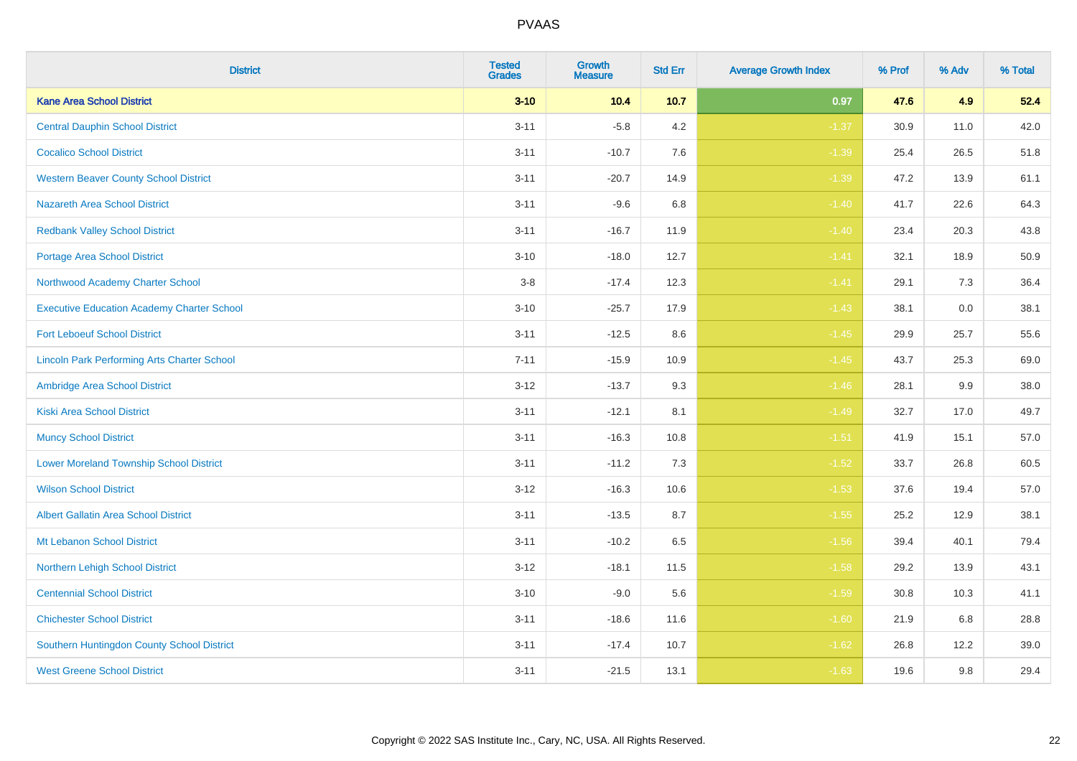| <b>District</b>                                    | <b>Tested</b><br><b>Grades</b> | Growth<br><b>Measure</b> | <b>Std Err</b> | <b>Average Growth Index</b> | % Prof | % Adv | % Total |
|----------------------------------------------------|--------------------------------|--------------------------|----------------|-----------------------------|--------|-------|---------|
| <b>Kane Area School District</b>                   | $3 - 10$                       | 10.4                     | 10.7           | 0.97                        | 47.6   | 4.9   | 52.4    |
| <b>Central Dauphin School District</b>             | $3 - 11$                       | $-5.8$                   | 4.2            | $-1.37$                     | 30.9   | 11.0  | 42.0    |
| <b>Cocalico School District</b>                    | $3 - 11$                       | $-10.7$                  | 7.6            | $-1.39$                     | 25.4   | 26.5  | 51.8    |
| <b>Western Beaver County School District</b>       | $3 - 11$                       | $-20.7$                  | 14.9           | $-1.39$                     | 47.2   | 13.9  | 61.1    |
| <b>Nazareth Area School District</b>               | $3 - 11$                       | $-9.6$                   | 6.8            | $-1.40$                     | 41.7   | 22.6  | 64.3    |
| <b>Redbank Valley School District</b>              | $3 - 11$                       | $-16.7$                  | 11.9           | $-1.40$                     | 23.4   | 20.3  | 43.8    |
| <b>Portage Area School District</b>                | $3 - 10$                       | $-18.0$                  | 12.7           | $-1.41$                     | 32.1   | 18.9  | 50.9    |
| Northwood Academy Charter School                   | $3 - 8$                        | $-17.4$                  | 12.3           | $-1.41$                     | 29.1   | 7.3   | 36.4    |
| <b>Executive Education Academy Charter School</b>  | $3 - 10$                       | $-25.7$                  | 17.9           | $-1.43$                     | 38.1   | 0.0   | 38.1    |
| <b>Fort Leboeuf School District</b>                | $3 - 11$                       | $-12.5$                  | 8.6            | $-1.45$                     | 29.9   | 25.7  | 55.6    |
| <b>Lincoln Park Performing Arts Charter School</b> | $7 - 11$                       | $-15.9$                  | 10.9           | $-1.45$                     | 43.7   | 25.3  | 69.0    |
| Ambridge Area School District                      | $3 - 12$                       | $-13.7$                  | 9.3            | $-1.46$                     | 28.1   | 9.9   | 38.0    |
| <b>Kiski Area School District</b>                  | $3 - 11$                       | $-12.1$                  | 8.1            | $-1.49$                     | 32.7   | 17.0  | 49.7    |
| <b>Muncy School District</b>                       | $3 - 11$                       | $-16.3$                  | 10.8           | $-1.51$                     | 41.9   | 15.1  | 57.0    |
| <b>Lower Moreland Township School District</b>     | $3 - 11$                       | $-11.2$                  | 7.3            | $-1.52$                     | 33.7   | 26.8  | 60.5    |
| <b>Wilson School District</b>                      | $3 - 12$                       | $-16.3$                  | 10.6           | $-1.53$                     | 37.6   | 19.4  | 57.0    |
| <b>Albert Gallatin Area School District</b>        | $3 - 11$                       | $-13.5$                  | 8.7            | $-1.55$                     | 25.2   | 12.9  | 38.1    |
| Mt Lebanon School District                         | $3 - 11$                       | $-10.2$                  | 6.5            | $-1.56$                     | 39.4   | 40.1  | 79.4    |
| Northern Lehigh School District                    | $3 - 12$                       | $-18.1$                  | 11.5           | $-1.58$                     | 29.2   | 13.9  | 43.1    |
| <b>Centennial School District</b>                  | $3 - 10$                       | $-9.0$                   | 5.6            | $-1.59$                     | 30.8   | 10.3  | 41.1    |
| <b>Chichester School District</b>                  | $3 - 11$                       | $-18.6$                  | 11.6           | $-1.60$                     | 21.9   | 6.8   | 28.8    |
| Southern Huntingdon County School District         | $3 - 11$                       | $-17.4$                  | 10.7           | $-1.62$                     | 26.8   | 12.2  | 39.0    |
| <b>West Greene School District</b>                 | $3 - 11$                       | $-21.5$                  | 13.1           | $-1.63$                     | 19.6   | 9.8   | 29.4    |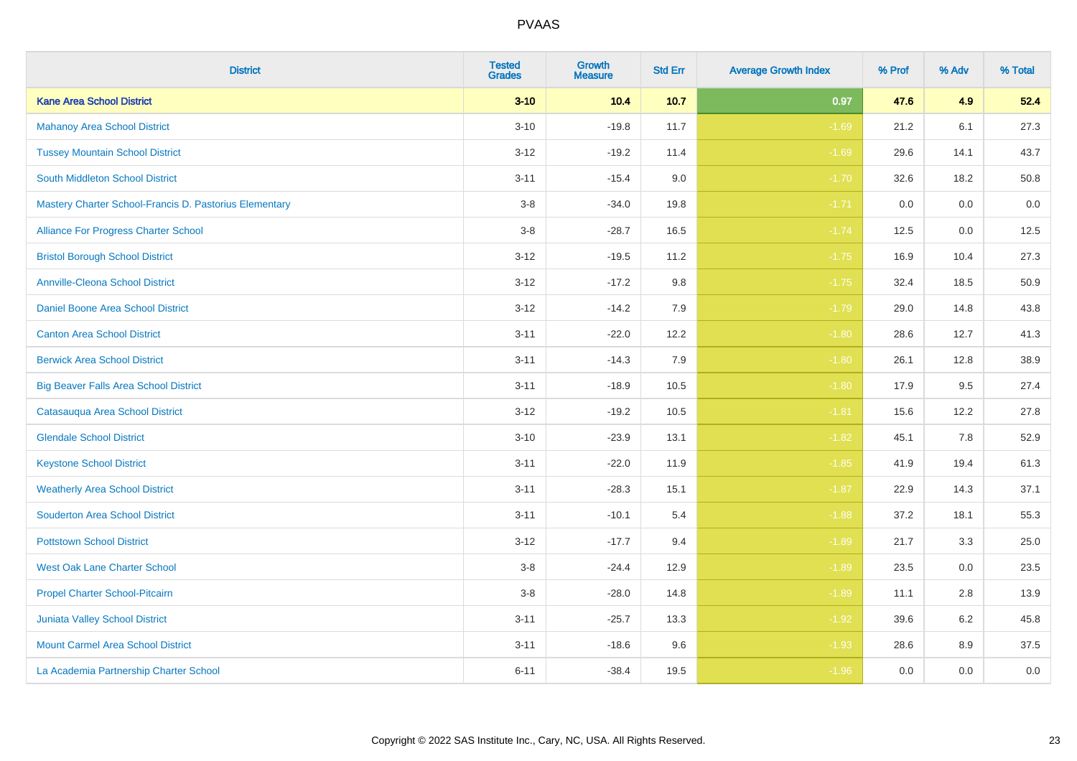| <b>District</b>                                        | <b>Tested</b><br><b>Grades</b> | <b>Growth</b><br><b>Measure</b> | <b>Std Err</b> | <b>Average Growth Index</b> | % Prof | % Adv | % Total |
|--------------------------------------------------------|--------------------------------|---------------------------------|----------------|-----------------------------|--------|-------|---------|
| <b>Kane Area School District</b>                       | $3 - 10$                       | 10.4                            | 10.7           | 0.97                        | 47.6   | 4.9   | 52.4    |
| <b>Mahanoy Area School District</b>                    | $3 - 10$                       | $-19.8$                         | 11.7           | $-1.69$                     | 21.2   | 6.1   | 27.3    |
| <b>Tussey Mountain School District</b>                 | $3 - 12$                       | $-19.2$                         | 11.4           | $-1.69$                     | 29.6   | 14.1  | 43.7    |
| <b>South Middleton School District</b>                 | $3 - 11$                       | $-15.4$                         | 9.0            | $-1.70$                     | 32.6   | 18.2  | 50.8    |
| Mastery Charter School-Francis D. Pastorius Elementary | $3-8$                          | $-34.0$                         | 19.8           | $-1.71$                     | 0.0    | 0.0   | 0.0     |
| Alliance For Progress Charter School                   | $3-8$                          | $-28.7$                         | 16.5           | $-1.74$                     | 12.5   | 0.0   | 12.5    |
| <b>Bristol Borough School District</b>                 | $3 - 12$                       | $-19.5$                         | 11.2           | $-1.75$                     | 16.9   | 10.4  | 27.3    |
| <b>Annville-Cleona School District</b>                 | $3 - 12$                       | $-17.2$                         | 9.8            | $-1.75$                     | 32.4   | 18.5  | 50.9    |
| Daniel Boone Area School District                      | $3 - 12$                       | $-14.2$                         | 7.9            | $-1.79$                     | 29.0   | 14.8  | 43.8    |
| <b>Canton Area School District</b>                     | $3 - 11$                       | $-22.0$                         | 12.2           | $-1.80$                     | 28.6   | 12.7  | 41.3    |
| <b>Berwick Area School District</b>                    | $3 - 11$                       | $-14.3$                         | 7.9            | $-1.80$                     | 26.1   | 12.8  | 38.9    |
| <b>Big Beaver Falls Area School District</b>           | $3 - 11$                       | $-18.9$                         | 10.5           | $-1.80$                     | 17.9   | 9.5   | 27.4    |
| Catasauqua Area School District                        | $3 - 12$                       | $-19.2$                         | 10.5           | $-1.81$                     | 15.6   | 12.2  | 27.8    |
| <b>Glendale School District</b>                        | $3 - 10$                       | $-23.9$                         | 13.1           | $-1.82$                     | 45.1   | 7.8   | 52.9    |
| <b>Keystone School District</b>                        | $3 - 11$                       | $-22.0$                         | 11.9           | $-1.85$                     | 41.9   | 19.4  | 61.3    |
| <b>Weatherly Area School District</b>                  | $3 - 11$                       | $-28.3$                         | 15.1           | $-1.87$                     | 22.9   | 14.3  | 37.1    |
| <b>Souderton Area School District</b>                  | $3 - 11$                       | $-10.1$                         | 5.4            | $-1.88$                     | 37.2   | 18.1  | 55.3    |
| <b>Pottstown School District</b>                       | $3 - 12$                       | $-17.7$                         | 9.4            | $-1.89$                     | 21.7   | 3.3   | 25.0    |
| <b>West Oak Lane Charter School</b>                    | $3-8$                          | $-24.4$                         | 12.9           | $-1.89$                     | 23.5   | 0.0   | 23.5    |
| Propel Charter School-Pitcairn                         | $3-8$                          | $-28.0$                         | 14.8           | $-1.89$                     | 11.1   | 2.8   | 13.9    |
| Juniata Valley School District                         | $3 - 11$                       | $-25.7$                         | 13.3           | $-1.92$                     | 39.6   | 6.2   | 45.8    |
| <b>Mount Carmel Area School District</b>               | $3 - 11$                       | $-18.6$                         | 9.6            | $-1.93$                     | 28.6   | 8.9   | 37.5    |
| La Academia Partnership Charter School                 | $6 - 11$                       | $-38.4$                         | 19.5           | $-1.96$                     | 0.0    | 0.0   | $0.0\,$ |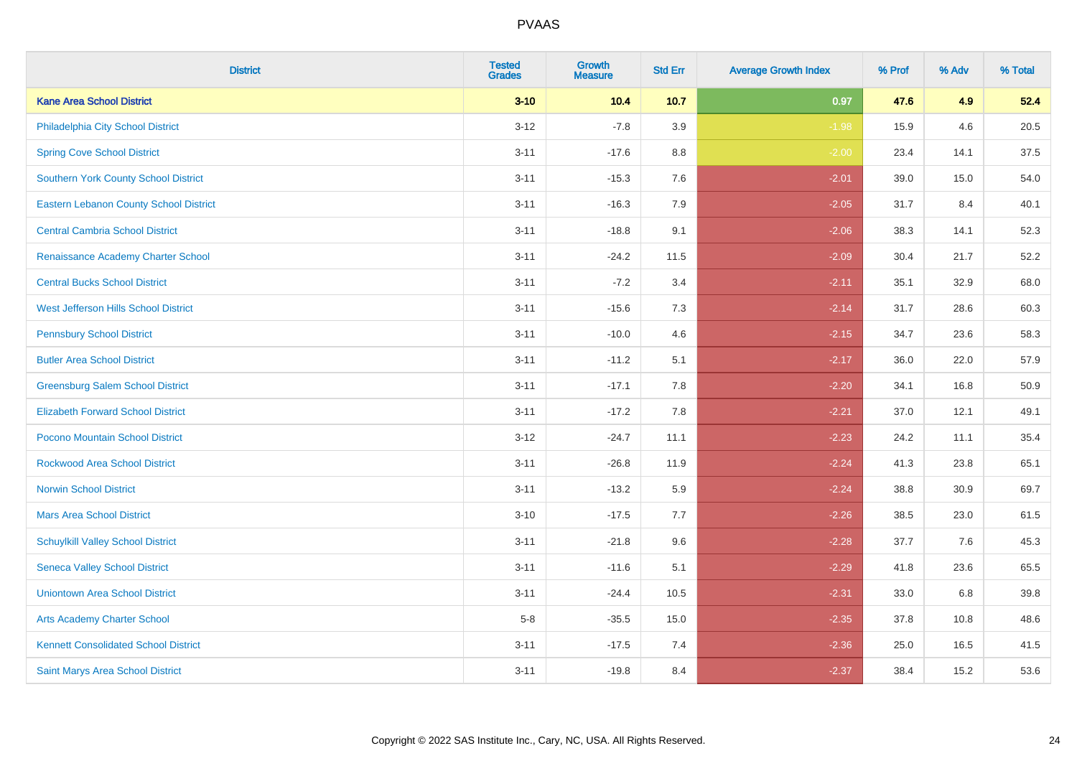| <b>District</b>                             | <b>Tested</b><br><b>Grades</b> | Growth<br><b>Measure</b> | <b>Std Err</b> | <b>Average Growth Index</b> | % Prof | % Adv | % Total |
|---------------------------------------------|--------------------------------|--------------------------|----------------|-----------------------------|--------|-------|---------|
| <b>Kane Area School District</b>            | $3 - 10$                       | 10.4                     | 10.7           | 0.97                        | 47.6   | 4.9   | 52.4    |
| Philadelphia City School District           | $3 - 12$                       | $-7.8$                   | 3.9            | $-1.98$                     | 15.9   | 4.6   | 20.5    |
| <b>Spring Cove School District</b>          | $3 - 11$                       | $-17.6$                  | 8.8            | $-2.00$                     | 23.4   | 14.1  | 37.5    |
| Southern York County School District        | $3 - 11$                       | $-15.3$                  | 7.6            | $-2.01$                     | 39.0   | 15.0  | 54.0    |
| Eastern Lebanon County School District      | $3 - 11$                       | $-16.3$                  | 7.9            | $-2.05$                     | 31.7   | 8.4   | 40.1    |
| <b>Central Cambria School District</b>      | $3 - 11$                       | $-18.8$                  | 9.1            | $-2.06$                     | 38.3   | 14.1  | 52.3    |
| Renaissance Academy Charter School          | $3 - 11$                       | $-24.2$                  | 11.5           | $-2.09$                     | 30.4   | 21.7  | 52.2    |
| <b>Central Bucks School District</b>        | $3 - 11$                       | $-7.2$                   | 3.4            | $-2.11$                     | 35.1   | 32.9  | 68.0    |
| West Jefferson Hills School District        | $3 - 11$                       | $-15.6$                  | 7.3            | $-2.14$                     | 31.7   | 28.6  | 60.3    |
| <b>Pennsbury School District</b>            | $3 - 11$                       | $-10.0$                  | 4.6            | $-2.15$                     | 34.7   | 23.6  | 58.3    |
| <b>Butler Area School District</b>          | $3 - 11$                       | $-11.2$                  | 5.1            | $-2.17$                     | 36.0   | 22.0  | 57.9    |
| <b>Greensburg Salem School District</b>     | $3 - 11$                       | $-17.1$                  | 7.8            | $-2.20$                     | 34.1   | 16.8  | 50.9    |
| <b>Elizabeth Forward School District</b>    | $3 - 11$                       | $-17.2$                  | 7.8            | $-2.21$                     | 37.0   | 12.1  | 49.1    |
| Pocono Mountain School District             | $3 - 12$                       | $-24.7$                  | 11.1           | $-2.23$                     | 24.2   | 11.1  | 35.4    |
| <b>Rockwood Area School District</b>        | $3 - 11$                       | $-26.8$                  | 11.9           | $-2.24$                     | 41.3   | 23.8  | 65.1    |
| <b>Norwin School District</b>               | $3 - 11$                       | $-13.2$                  | 5.9            | $-2.24$                     | 38.8   | 30.9  | 69.7    |
| <b>Mars Area School District</b>            | $3 - 10$                       | $-17.5$                  | 7.7            | $-2.26$                     | 38.5   | 23.0  | 61.5    |
| <b>Schuylkill Valley School District</b>    | $3 - 11$                       | $-21.8$                  | 9.6            | $-2.28$                     | 37.7   | 7.6   | 45.3    |
| <b>Seneca Valley School District</b>        | $3 - 11$                       | $-11.6$                  | 5.1            | $-2.29$                     | 41.8   | 23.6  | 65.5    |
| <b>Uniontown Area School District</b>       | $3 - 11$                       | $-24.4$                  | 10.5           | $-2.31$                     | 33.0   | 6.8   | 39.8    |
| <b>Arts Academy Charter School</b>          | $5-8$                          | $-35.5$                  | 15.0           | $-2.35$                     | 37.8   | 10.8  | 48.6    |
| <b>Kennett Consolidated School District</b> | $3 - 11$                       | $-17.5$                  | 7.4            | $-2.36$                     | 25.0   | 16.5  | 41.5    |
| Saint Marys Area School District            | $3 - 11$                       | $-19.8$                  | 8.4            | $-2.37$                     | 38.4   | 15.2  | 53.6    |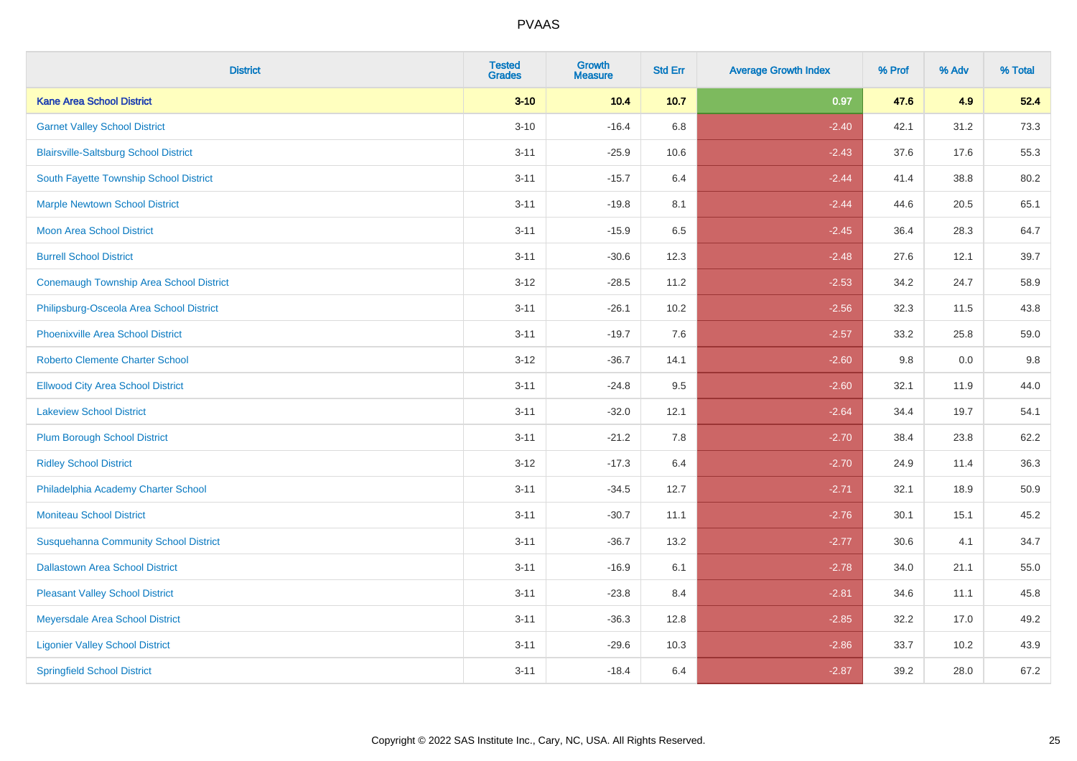| <b>District</b>                                | <b>Tested</b><br><b>Grades</b> | Growth<br><b>Measure</b> | <b>Std Err</b> | <b>Average Growth Index</b> | % Prof | % Adv | % Total |
|------------------------------------------------|--------------------------------|--------------------------|----------------|-----------------------------|--------|-------|---------|
| <b>Kane Area School District</b>               | $3 - 10$                       | 10.4                     | 10.7           | 0.97                        | 47.6   | 4.9   | 52.4    |
| <b>Garnet Valley School District</b>           | $3 - 10$                       | $-16.4$                  | 6.8            | $-2.40$                     | 42.1   | 31.2  | 73.3    |
| <b>Blairsville-Saltsburg School District</b>   | $3 - 11$                       | $-25.9$                  | 10.6           | $-2.43$                     | 37.6   | 17.6  | 55.3    |
| South Fayette Township School District         | $3 - 11$                       | $-15.7$                  | 6.4            | $-2.44$                     | 41.4   | 38.8  | 80.2    |
| <b>Marple Newtown School District</b>          | $3 - 11$                       | $-19.8$                  | 8.1            | $-2.44$                     | 44.6   | 20.5  | 65.1    |
| <b>Moon Area School District</b>               | $3 - 11$                       | $-15.9$                  | 6.5            | $-2.45$                     | 36.4   | 28.3  | 64.7    |
| <b>Burrell School District</b>                 | $3 - 11$                       | $-30.6$                  | 12.3           | $-2.48$                     | 27.6   | 12.1  | 39.7    |
| <b>Conemaugh Township Area School District</b> | $3 - 12$                       | $-28.5$                  | 11.2           | $-2.53$                     | 34.2   | 24.7  | 58.9    |
| Philipsburg-Osceola Area School District       | $3 - 11$                       | $-26.1$                  | 10.2           | $-2.56$                     | 32.3   | 11.5  | 43.8    |
| <b>Phoenixville Area School District</b>       | $3 - 11$                       | $-19.7$                  | 7.6            | $-2.57$                     | 33.2   | 25.8  | 59.0    |
| <b>Roberto Clemente Charter School</b>         | $3 - 12$                       | $-36.7$                  | 14.1           | $-2.60$                     | 9.8    | 0.0   | 9.8     |
| <b>Ellwood City Area School District</b>       | $3 - 11$                       | $-24.8$                  | 9.5            | $-2.60$                     | 32.1   | 11.9  | 44.0    |
| <b>Lakeview School District</b>                | $3 - 11$                       | $-32.0$                  | 12.1           | $-2.64$                     | 34.4   | 19.7  | 54.1    |
| <b>Plum Borough School District</b>            | $3 - 11$                       | $-21.2$                  | 7.8            | $-2.70$                     | 38.4   | 23.8  | 62.2    |
| <b>Ridley School District</b>                  | $3 - 12$                       | $-17.3$                  | 6.4            | $-2.70$                     | 24.9   | 11.4  | 36.3    |
| Philadelphia Academy Charter School            | $3 - 11$                       | $-34.5$                  | 12.7           | $-2.71$                     | 32.1   | 18.9  | 50.9    |
| <b>Moniteau School District</b>                | $3 - 11$                       | $-30.7$                  | 11.1           | $-2.76$                     | 30.1   | 15.1  | 45.2    |
| <b>Susquehanna Community School District</b>   | $3 - 11$                       | $-36.7$                  | 13.2           | $-2.77$                     | 30.6   | 4.1   | 34.7    |
| <b>Dallastown Area School District</b>         | $3 - 11$                       | $-16.9$                  | 6.1            | $-2.78$                     | 34.0   | 21.1  | 55.0    |
| <b>Pleasant Valley School District</b>         | $3 - 11$                       | $-23.8$                  | 8.4            | $-2.81$                     | 34.6   | 11.1  | 45.8    |
| Meyersdale Area School District                | $3 - 11$                       | $-36.3$                  | 12.8           | $-2.85$                     | 32.2   | 17.0  | 49.2    |
| <b>Ligonier Valley School District</b>         | $3 - 11$                       | $-29.6$                  | 10.3           | $-2.86$                     | 33.7   | 10.2  | 43.9    |
| <b>Springfield School District</b>             | $3 - 11$                       | $-18.4$                  | 6.4            | $-2.87$                     | 39.2   | 28.0  | 67.2    |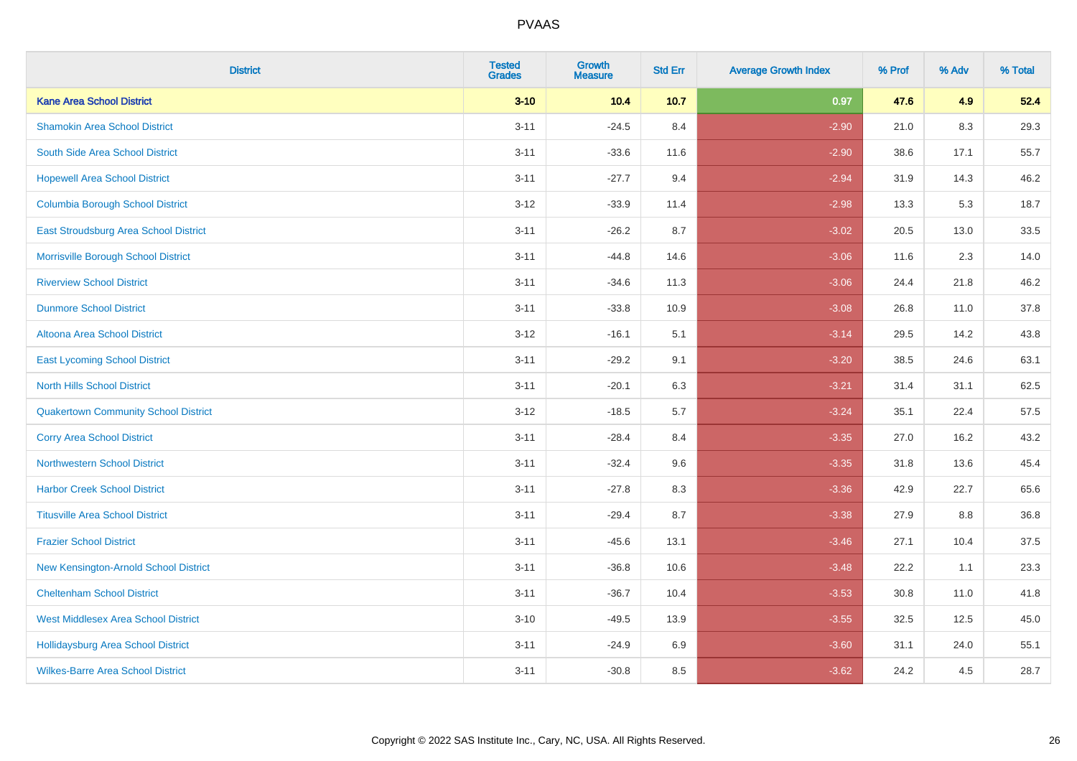| <b>District</b>                             | <b>Tested</b><br><b>Grades</b> | Growth<br><b>Measure</b> | <b>Std Err</b> | <b>Average Growth Index</b> | % Prof | % Adv | % Total |
|---------------------------------------------|--------------------------------|--------------------------|----------------|-----------------------------|--------|-------|---------|
| <b>Kane Area School District</b>            | $3 - 10$                       | 10.4                     | 10.7           | 0.97                        | 47.6   | 4.9   | 52.4    |
| <b>Shamokin Area School District</b>        | $3 - 11$                       | $-24.5$                  | 8.4            | $-2.90$                     | 21.0   | 8.3   | 29.3    |
| South Side Area School District             | $3 - 11$                       | $-33.6$                  | 11.6           | $-2.90$                     | 38.6   | 17.1  | 55.7    |
| <b>Hopewell Area School District</b>        | $3 - 11$                       | $-27.7$                  | 9.4            | $-2.94$                     | 31.9   | 14.3  | 46.2    |
| <b>Columbia Borough School District</b>     | $3 - 12$                       | $-33.9$                  | 11.4           | $-2.98$                     | 13.3   | 5.3   | 18.7    |
| East Stroudsburg Area School District       | $3 - 11$                       | $-26.2$                  | 8.7            | $-3.02$                     | 20.5   | 13.0  | 33.5    |
| Morrisville Borough School District         | $3 - 11$                       | $-44.8$                  | 14.6           | $-3.06$                     | 11.6   | 2.3   | 14.0    |
| <b>Riverview School District</b>            | $3 - 11$                       | $-34.6$                  | 11.3           | $-3.06$                     | 24.4   | 21.8  | 46.2    |
| <b>Dunmore School District</b>              | $3 - 11$                       | $-33.8$                  | 10.9           | $-3.08$                     | 26.8   | 11.0  | 37.8    |
| <b>Altoona Area School District</b>         | $3-12$                         | $-16.1$                  | 5.1            | $-3.14$                     | 29.5   | 14.2  | 43.8    |
| <b>East Lycoming School District</b>        | $3 - 11$                       | $-29.2$                  | 9.1            | $-3.20$                     | 38.5   | 24.6  | 63.1    |
| <b>North Hills School District</b>          | $3 - 11$                       | $-20.1$                  | 6.3            | $-3.21$                     | 31.4   | 31.1  | 62.5    |
| <b>Quakertown Community School District</b> | $3 - 12$                       | $-18.5$                  | 5.7            | $-3.24$                     | 35.1   | 22.4  | 57.5    |
| <b>Corry Area School District</b>           | $3 - 11$                       | $-28.4$                  | 8.4            | $-3.35$                     | 27.0   | 16.2  | 43.2    |
| <b>Northwestern School District</b>         | $3 - 11$                       | $-32.4$                  | 9.6            | $-3.35$                     | 31.8   | 13.6  | 45.4    |
| <b>Harbor Creek School District</b>         | $3 - 11$                       | $-27.8$                  | 8.3            | $-3.36$                     | 42.9   | 22.7  | 65.6    |
| <b>Titusville Area School District</b>      | $3 - 11$                       | $-29.4$                  | 8.7            | $-3.38$                     | 27.9   | 8.8   | 36.8    |
| <b>Frazier School District</b>              | $3 - 11$                       | $-45.6$                  | 13.1           | $-3.46$                     | 27.1   | 10.4  | 37.5    |
| New Kensington-Arnold School District       | $3 - 11$                       | $-36.8$                  | 10.6           | $-3.48$                     | 22.2   | 1.1   | 23.3    |
| <b>Cheltenham School District</b>           | $3 - 11$                       | $-36.7$                  | 10.4           | $-3.53$                     | 30.8   | 11.0  | 41.8    |
| <b>West Middlesex Area School District</b>  | $3 - 10$                       | $-49.5$                  | 13.9           | $-3.55$                     | 32.5   | 12.5  | 45.0    |
| <b>Hollidaysburg Area School District</b>   | $3 - 11$                       | $-24.9$                  | 6.9            | $-3.60$                     | 31.1   | 24.0  | 55.1    |
| <b>Wilkes-Barre Area School District</b>    | $3 - 11$                       | $-30.8$                  | 8.5            | $-3.62$                     | 24.2   | 4.5   | 28.7    |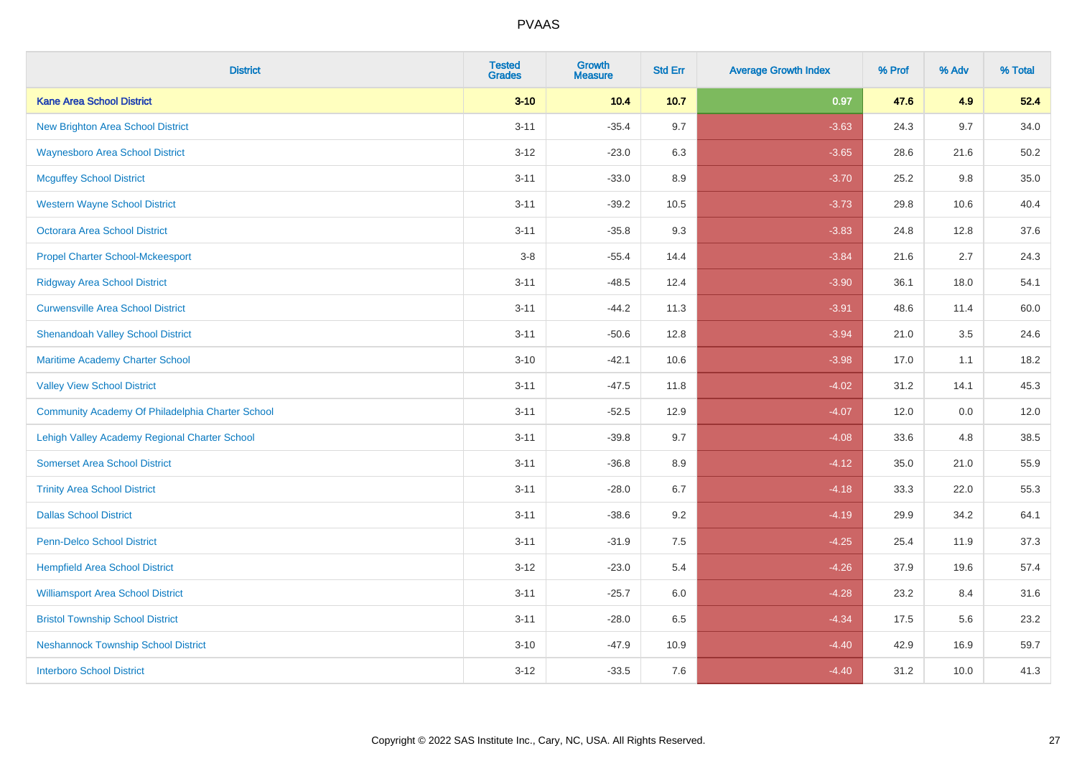| <b>District</b>                                  | <b>Tested</b><br><b>Grades</b> | Growth<br><b>Measure</b> | <b>Std Err</b> | <b>Average Growth Index</b> | % Prof | % Adv | % Total |
|--------------------------------------------------|--------------------------------|--------------------------|----------------|-----------------------------|--------|-------|---------|
| <b>Kane Area School District</b>                 | $3 - 10$                       | 10.4                     | 10.7           | 0.97                        | 47.6   | 4.9   | 52.4    |
| <b>New Brighton Area School District</b>         | $3 - 11$                       | $-35.4$                  | 9.7            | $-3.63$                     | 24.3   | 9.7   | 34.0    |
| <b>Waynesboro Area School District</b>           | $3 - 12$                       | $-23.0$                  | 6.3            | $-3.65$                     | 28.6   | 21.6  | 50.2    |
| <b>Mcguffey School District</b>                  | $3 - 11$                       | $-33.0$                  | 8.9            | $-3.70$                     | 25.2   | 9.8   | 35.0    |
| <b>Western Wayne School District</b>             | $3 - 11$                       | $-39.2$                  | 10.5           | $-3.73$                     | 29.8   | 10.6  | 40.4    |
| <b>Octorara Area School District</b>             | $3 - 11$                       | $-35.8$                  | 9.3            | $-3.83$                     | 24.8   | 12.8  | 37.6    |
| <b>Propel Charter School-Mckeesport</b>          | $3-8$                          | $-55.4$                  | 14.4           | $-3.84$                     | 21.6   | 2.7   | 24.3    |
| <b>Ridgway Area School District</b>              | $3 - 11$                       | $-48.5$                  | 12.4           | $-3.90$                     | 36.1   | 18.0  | 54.1    |
| <b>Curwensville Area School District</b>         | $3 - 11$                       | $-44.2$                  | 11.3           | $-3.91$                     | 48.6   | 11.4  | 60.0    |
| <b>Shenandoah Valley School District</b>         | $3 - 11$                       | $-50.6$                  | 12.8           | $-3.94$                     | 21.0   | 3.5   | 24.6    |
| Maritime Academy Charter School                  | $3 - 10$                       | $-42.1$                  | 10.6           | $-3.98$                     | 17.0   | 1.1   | 18.2    |
| <b>Valley View School District</b>               | $3 - 11$                       | $-47.5$                  | 11.8           | $-4.02$                     | 31.2   | 14.1  | 45.3    |
| Community Academy Of Philadelphia Charter School | $3 - 11$                       | $-52.5$                  | 12.9           | $-4.07$                     | 12.0   | 0.0   | 12.0    |
| Lehigh Valley Academy Regional Charter School    | $3 - 11$                       | $-39.8$                  | 9.7            | $-4.08$                     | 33.6   | 4.8   | 38.5    |
| <b>Somerset Area School District</b>             | $3 - 11$                       | $-36.8$                  | 8.9            | $-4.12$                     | 35.0   | 21.0  | 55.9    |
| <b>Trinity Area School District</b>              | $3 - 11$                       | $-28.0$                  | 6.7            | $-4.18$                     | 33.3   | 22.0  | 55.3    |
| <b>Dallas School District</b>                    | $3 - 11$                       | $-38.6$                  | 9.2            | $-4.19$                     | 29.9   | 34.2  | 64.1    |
| Penn-Delco School District                       | $3 - 11$                       | $-31.9$                  | 7.5            | $-4.25$                     | 25.4   | 11.9  | 37.3    |
| <b>Hempfield Area School District</b>            | $3 - 12$                       | $-23.0$                  | 5.4            | $-4.26$                     | 37.9   | 19.6  | 57.4    |
| <b>Williamsport Area School District</b>         | $3 - 11$                       | $-25.7$                  | 6.0            | $-4.28$                     | 23.2   | 8.4   | 31.6    |
| <b>Bristol Township School District</b>          | $3 - 11$                       | $-28.0$                  | 6.5            | $-4.34$                     | 17.5   | 5.6   | 23.2    |
| <b>Neshannock Township School District</b>       | $3 - 10$                       | $-47.9$                  | 10.9           | $-4.40$                     | 42.9   | 16.9  | 59.7    |
| <b>Interboro School District</b>                 | $3 - 12$                       | $-33.5$                  | 7.6            | $-4.40$                     | 31.2   | 10.0  | 41.3    |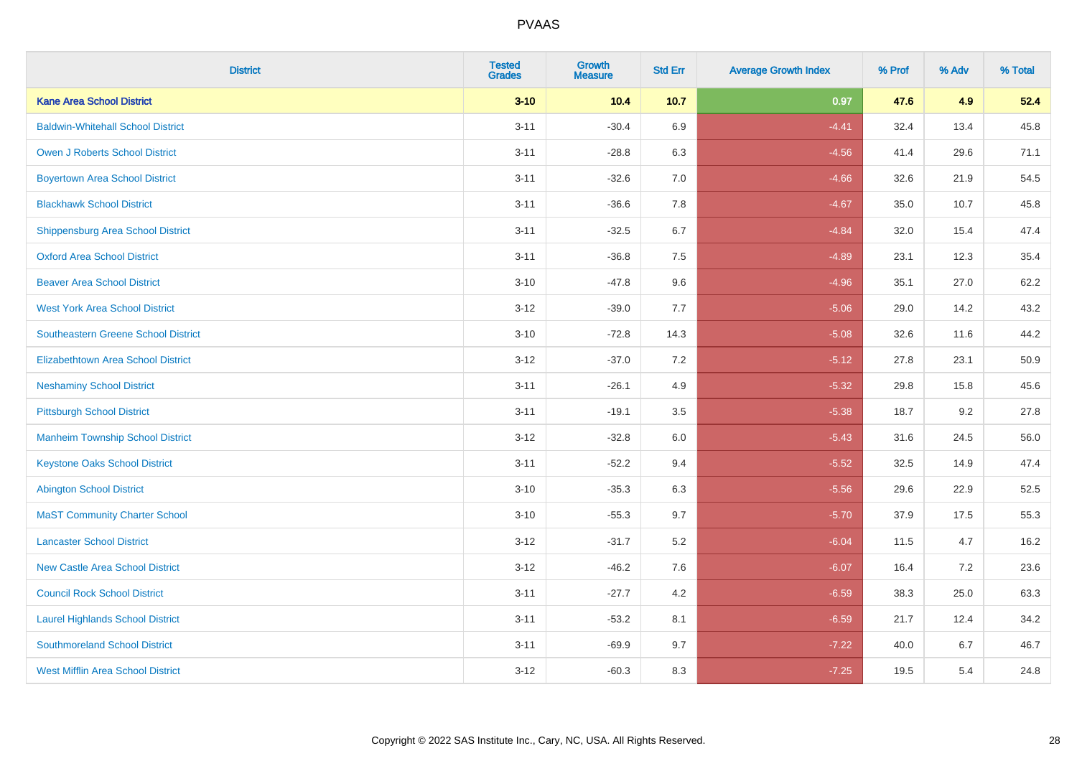| <b>District</b>                            | <b>Tested</b><br><b>Grades</b> | Growth<br><b>Measure</b> | <b>Std Err</b> | <b>Average Growth Index</b> | % Prof | % Adv | % Total |
|--------------------------------------------|--------------------------------|--------------------------|----------------|-----------------------------|--------|-------|---------|
| <b>Kane Area School District</b>           | $3 - 10$                       | 10.4                     | 10.7           | 0.97                        | 47.6   | 4.9   | 52.4    |
| <b>Baldwin-Whitehall School District</b>   | $3 - 11$                       | $-30.4$                  | 6.9            | $-4.41$                     | 32.4   | 13.4  | 45.8    |
| <b>Owen J Roberts School District</b>      | $3 - 11$                       | $-28.8$                  | 6.3            | $-4.56$                     | 41.4   | 29.6  | 71.1    |
| <b>Boyertown Area School District</b>      | $3 - 11$                       | $-32.6$                  | 7.0            | $-4.66$                     | 32.6   | 21.9  | 54.5    |
| <b>Blackhawk School District</b>           | $3 - 11$                       | $-36.6$                  | 7.8            | $-4.67$                     | 35.0   | 10.7  | 45.8    |
| Shippensburg Area School District          | $3 - 11$                       | $-32.5$                  | 6.7            | $-4.84$                     | 32.0   | 15.4  | 47.4    |
| <b>Oxford Area School District</b>         | $3 - 11$                       | $-36.8$                  | 7.5            | $-4.89$                     | 23.1   | 12.3  | 35.4    |
| <b>Beaver Area School District</b>         | $3 - 10$                       | $-47.8$                  | 9.6            | $-4.96$                     | 35.1   | 27.0  | 62.2    |
| <b>West York Area School District</b>      | $3 - 12$                       | $-39.0$                  | 7.7            | $-5.06$                     | 29.0   | 14.2  | 43.2    |
| <b>Southeastern Greene School District</b> | $3 - 10$                       | $-72.8$                  | 14.3           | $-5.08$                     | 32.6   | 11.6  | 44.2    |
| <b>Elizabethtown Area School District</b>  | $3 - 12$                       | $-37.0$                  | 7.2            | $-5.12$                     | 27.8   | 23.1  | 50.9    |
| <b>Neshaminy School District</b>           | $3 - 11$                       | $-26.1$                  | 4.9            | $-5.32$                     | 29.8   | 15.8  | 45.6    |
| <b>Pittsburgh School District</b>          | $3 - 11$                       | $-19.1$                  | 3.5            | $-5.38$                     | 18.7   | 9.2   | 27.8    |
| <b>Manheim Township School District</b>    | $3 - 12$                       | $-32.8$                  | $6.0\,$        | $-5.43$                     | 31.6   | 24.5  | 56.0    |
| <b>Keystone Oaks School District</b>       | $3 - 11$                       | $-52.2$                  | 9.4            | $-5.52$                     | 32.5   | 14.9  | 47.4    |
| <b>Abington School District</b>            | $3 - 10$                       | $-35.3$                  | 6.3            | $-5.56$                     | 29.6   | 22.9  | 52.5    |
| <b>MaST Community Charter School</b>       | $3 - 10$                       | $-55.3$                  | 9.7            | $-5.70$                     | 37.9   | 17.5  | 55.3    |
| <b>Lancaster School District</b>           | $3 - 12$                       | $-31.7$                  | 5.2            | $-6.04$                     | 11.5   | 4.7   | 16.2    |
| <b>New Castle Area School District</b>     | $3 - 12$                       | $-46.2$                  | 7.6            | $-6.07$                     | 16.4   | 7.2   | 23.6    |
| <b>Council Rock School District</b>        | $3 - 11$                       | $-27.7$                  | 4.2            | $-6.59$                     | 38.3   | 25.0  | 63.3    |
| <b>Laurel Highlands School District</b>    | $3 - 11$                       | $-53.2$                  | 8.1            | $-6.59$                     | 21.7   | 12.4  | 34.2    |
| <b>Southmoreland School District</b>       | $3 - 11$                       | $-69.9$                  | 9.7            | $-7.22$                     | 40.0   | 6.7   | 46.7    |
| <b>West Mifflin Area School District</b>   | $3 - 12$                       | $-60.3$                  | 8.3            | $-7.25$                     | 19.5   | 5.4   | 24.8    |